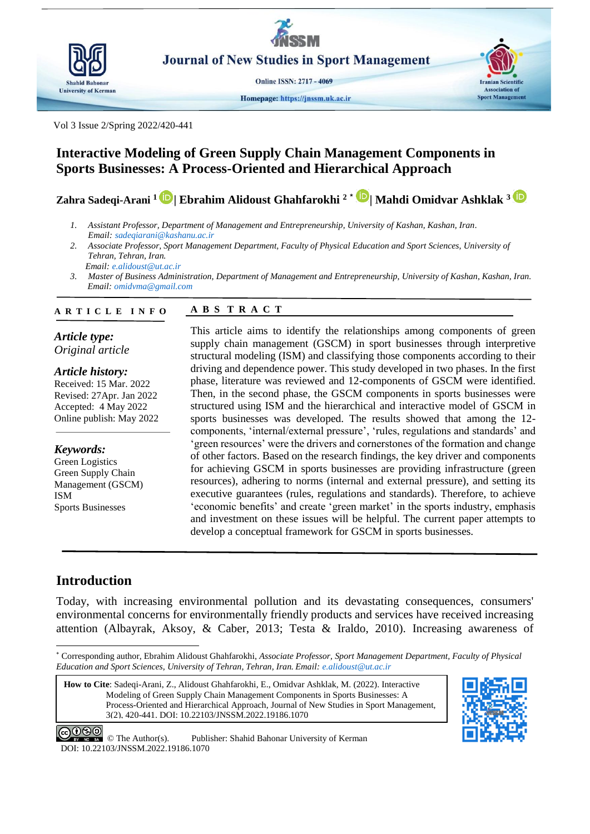

**Journal of New Studies in Sport Management** 

**Online ISSN: 2717 - 4069** 

Homepage: https://jnssm.uk.ac.ir



Vol 3 Issue 2/Spring 2022/420-441

# **Interactive Modeling of Green Supply Chain Management Components in Sports Businesses: A Process-Oriented and Hierarchical Approach**

**Zahra Sadeqi-Arani <sup>1</sup>| Ebrahim Alidoust Ghahfarokhi <sup>2</sup> \* | Mahdi Omidvar Ashklak <sup>3</sup>**

- *1. Assistant Professor, Department of Management and Entrepreneurship, University of Kashan, Kashan, Iran. Email: [sadeqiarani@kashanu.ac.ir](mailto:sadeqiarani@kashanu.ac.ir)*
- *2. Associate Professor, Sport Management Department, Faculty of Physical Education and Sport Sciences, University of Tehran, Tehran, Iran. Email: e.alidoust@ut.ac.ir*
- *3. Master of Business Administration, Department of Management and Entrepreneurship, University of Kashan, Kashan, Iran. Email: omidvma@gmail.com*

#### **A B S T R A C T A R T I C L E I N F O**

*Article type: Original article*

*Article history:* Received: 15 Mar. 2022 Revised: 27Apr. Jan 2022 Accepted: 4 May 2022 Online publish: May 2022

*Keywords:* Green Logistics Green Supply Chain Management (GSCM) ISM Sports Businesses

This article aims to identify the relationships among components of green supply chain management (GSCM) in sport businesses through interpretive structural modeling (ISM) and classifying those components according to their driving and dependence power. This study developed in two phases. In the first phase, literature was reviewed and 12-components of GSCM were identified. Then, in the second phase, the GSCM components in sports businesses were structured using ISM and the hierarchical and interactive model of GSCM in sports businesses was developed. The results showed that among the 12 components, 'internal/external pressure', 'rules, regulations and standards' and 'green resources' were the drivers and cornerstones of the formation and change of other factors. Based on the research findings, the key driver and components for achieving GSCM in sports businesses are providing infrastructure (green resources), adhering to norms (internal and external pressure), and setting its executive guarantees (rules, regulations and standards). Therefore, to achieve 'economic benefits' and create 'green market' in the sports industry, emphasis and investment on these issues will be helpful. The current paper attempts to develop a conceptual framework for GSCM in sports businesses.

# **Introduction**

**.** 

Today, with increasing environmental pollution and its devastating consequences, consumers' environmental concerns for environmentally friendly products and services have received increasing attention [\(Albayrak, Aksoy, & Caber, 2013;](#page-19-0) [Testa & Iraldo, 2010\)](#page-21-0). Increasing awareness of

**How to Cite**: Sadeqi-Arani, Z., Alidoust Ghahfarokhi, E., Omidvar Ashklak, M. (2022). Interactive Modeling of Green Supply Chain Management Components in Sports Businesses: A Process-Oriented and Hierarchical Approach, Journal of New Studies in Sport Management, 3(2), 420-441. DOI: 10.22103/JNSSM.2022.19186.1070



<sup>\*</sup> Corresponding author, Ebrahim Alidoust Ghahfarokhi, *Associate Professor, Sport Management Department, Faculty of Physical Education and Sport Sciences, University of Tehran, Tehran, Iran. Email: e.alidoust@ut.ac.ir*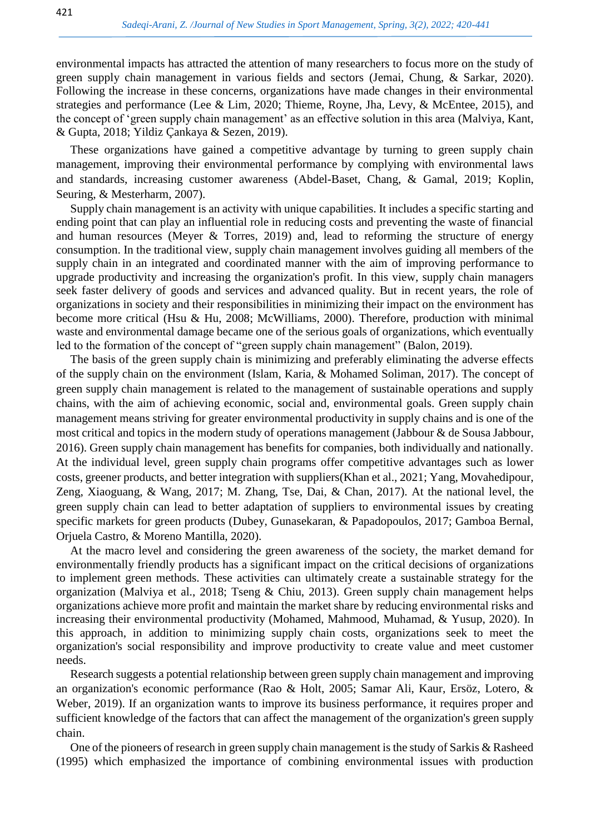environmental impacts has attracted the attention of many researchers to focus more on the study of green supply chain management in various fields and sectors [\(Jemai, Chung, & Sarkar, 2020\)](#page-20-0). Following the increase in these concerns, organizations have made changes in their environmental strategies and performance [\(Lee & Lim, 2020;](#page-20-1) [Thieme, Royne, Jha, Levy, & McEntee, 2015\)](#page-21-1), and the concept of 'green supply chain management' as an effective solution in this area [\(Malviya, Kant,](#page-20-2)  [& Gupta, 2018;](#page-20-2) [Yildiz Çankaya & Sezen, 2019\)](#page-21-2).

These organizations have gained a competitive advantage by turning to green supply chain management, improving their environmental performance by complying with environmental laws and standards, increasing customer awareness [\(Abdel-Baset, Chang, & Gamal, 2019;](#page-19-1) [Koplin,](#page-20-3)  [Seuring, & Mesterharm, 2007\)](#page-20-3).

Supply chain management is an activity with unique capabilities. It includes a specific starting and ending point that can play an influential role in reducing costs and preventing the waste of financial and human resources [\(Meyer & Torres, 2019\)](#page-20-4) and, lead to reforming the structure of energy consumption. In the traditional view, supply chain management involves guiding all members of the supply chain in an integrated and coordinated manner with the aim of improving performance to upgrade productivity and increasing the organization's profit. In this view, supply chain managers seek faster delivery of goods and services and advanced quality. But in recent years, the role of organizations in society and their responsibilities in minimizing their impact on the environment has become more critical [\(Hsu & Hu, 2008;](#page-19-2) [McWilliams, 2000\)](#page-20-5). Therefore, production with minimal waste and environmental damage became one of the serious goals of organizations, which eventually led to the formation of the concept of "green supply chain management" [\(Balon, 2019\)](#page-19-3).

The basis of the green supply chain is minimizing and preferably eliminating the adverse effects of the supply chain on the environment [\(Islam, Karia, & Mohamed Soliman, 2017\)](#page-19-4). The concept of green supply chain management is related to the management of sustainable operations and supply chains, with the aim of achieving economic, social and, environmental goals. Green supply chain management means striving for greater environmental productivity in supply chains and is one of the most critical and topics in the modern study of operations management [\(Jabbour & de Sousa Jabbour,](#page-20-6)  [2016\)](#page-20-6). Green supply chain management has benefits for companies, both individually and nationally. At the individual level, green supply chain programs offer competitive advantages such as lower costs, greener products, and better integration with suppliers[\(Khan et al., 2021;](#page-20-7) [Yang, Movahedipour,](#page-21-3)  [Zeng, Xiaoguang, & Wang, 2017;](#page-21-3) [M. Zhang, Tse, Dai, & Chan, 2017\)](#page-21-4). At the national level, the green supply chain can lead to better adaptation of suppliers to environmental issues by creating specific markets for green products [\(Dubey, Gunasekaran, & Papadopoulos, 2017;](#page-19-5) [Gamboa Bernal,](#page-19-6)  [Orjuela Castro, & Moreno Mantilla, 2020\)](#page-19-6).

At the macro level and considering the green awareness of the society, the market demand for environmentally friendly products has a significant impact on the critical decisions of organizations to implement green methods. These activities can ultimately create a sustainable strategy for the organization [\(Malviya et al., 2018;](#page-20-2) [Tseng & Chiu, 2013\)](#page-21-5). Green supply chain management helps organizations achieve more profit and maintain the market share by reducing environmental risks and increasing their environmental productivity [\(Mohamed, Mahmood, Muhamad, & Yusup, 2020\)](#page-20-8). In this approach, in addition to minimizing supply chain costs, organizations seek to meet the organization's social responsibility and improve productivity to create value and meet customer needs.

Research suggests a potential relationship between green supply chain management and improving an organization's economic performance [\(Rao & Holt, 2005;](#page-20-9) [Samar Ali, Kaur, Ersöz, Lotero, &](#page-20-10)  [Weber, 2019\)](#page-20-10). If an organization wants to improve its business performance, it requires proper and sufficient knowledge of the factors that can affect the management of the organization's green supply chain.

One of the pioneers of research in green supply chain management is the study of Sarkis & Rasheed (1995) which emphasized the importance of combining environmental issues with production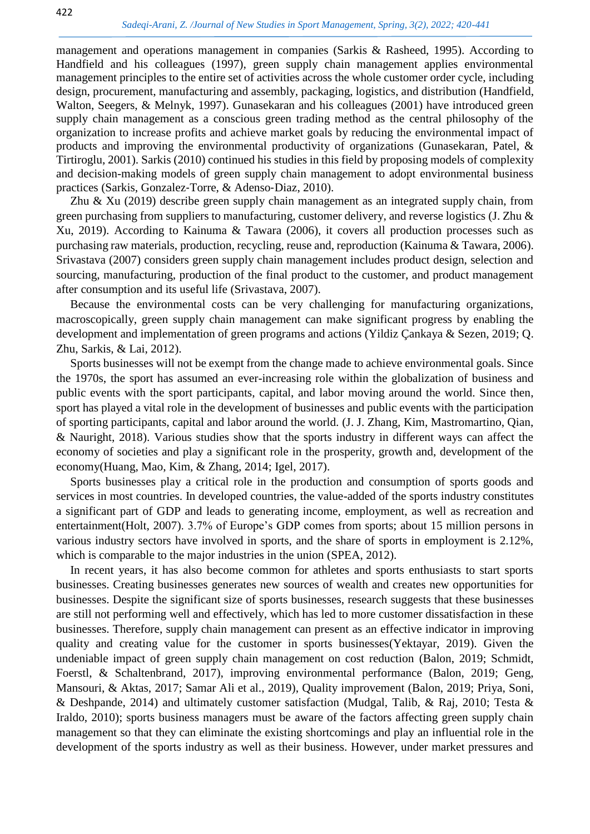management and operations management in companies [\(Sarkis & Rasheed, 1995\)](#page-21-6). According to Handfield and his colleagues (1997), green supply chain management applies environmental management principles to the entire set of activities across the whole customer order cycle, including design, procurement, manufacturing and assembly, packaging, logistics, and distribution [\(Handfield,](#page-19-7)  [Walton, Seegers, & Melnyk, 1997\)](#page-19-7). Gunasekaran and his colleagues (2001) have introduced green supply chain management as a conscious green trading method as the central philosophy of the organization to increase profits and achieve market goals by reducing the environmental impact of products and improving the environmental productivity of organizations [\(Gunasekaran, Patel, &](#page-19-8)  [Tirtiroglu, 2001\)](#page-19-8). Sarkis (2010) continued his studies in this field by proposing models of complexity and decision-making models of green supply chain management to adopt environmental business practices [\(Sarkis, Gonzalez](#page-21-7)‐Torre, & Adenso‐Diaz, 2010).

Zhu & Xu (2019) describe green supply chain management as an integrated supply chain, from green purchasing from suppliers to manufacturing, customer delivery, and reverse logistics [\(J. Zhu &](#page-21-8)  [Xu, 2019\)](#page-21-8). According to Kainuma & Tawara (2006), it covers all production processes such as purchasing raw materials, production, recycling, reuse and, reproduction [\(Kainuma & Tawara, 2006\)](#page-20-11). Srivastava (2007) considers green supply chain management includes product design, selection and sourcing, manufacturing, production of the final product to the customer, and product management after consumption and its useful life [\(Srivastava, 2007\)](#page-21-9).

Because the environmental costs can be very challenging for manufacturing organizations, macroscopically, green supply chain management can make significant progress by enabling the development and implementation of green programs and actions [\(Yildiz Çankaya & Sezen, 2019;](#page-21-2) [Q.](#page-21-10)  [Zhu, Sarkis, & Lai, 2012\)](#page-21-10).

Sports businesses will not be exempt from the change made to achieve environmental goals. Since the 1970s, the sport has assumed an ever-increasing role within the globalization of business and public events with the sport participants, capital, and labor moving around the world. Since then, sport has played a vital role in the development of businesses and public events with the participation of sporting participants, capital and labor around the world. [\(J. J. Zhang, Kim, Mastromartino, Qian,](#page-21-11)  [& Nauright, 2018\)](#page-21-11). Various studies show that the sports industry in different ways can affect the economy of societies and play a significant role in the prosperity, growth and, development of the economy[\(Huang, Mao, Kim, & Zhang, 2014;](#page-19-9) [Igel, 2017\)](#page-19-10).

Sports businesses play a critical role in the production and consumption of sports goods and services in most countries. In developed countries, the value-added of the sports industry constitutes a significant part of GDP and leads to generating income, employment, as well as recreation and entertainment[\(Holt, 2007\)](#page-19-11). 3.7% of Europe's GDP comes from sports; about 15 million persons in various industry sectors have involved in sports, and the share of sports in employment is 2.12%, which is comparable to the major industries in the union [\(SPEA, 2012\)](#page-21-12).

In recent years, it has also become common for athletes and sports enthusiasts to start sports businesses. Creating businesses generates new sources of wealth and creates new opportunities for businesses. Despite the significant size of sports businesses, research suggests that these businesses are still not performing well and effectively, which has led to more customer dissatisfaction in these businesses. Therefore, supply chain management can present as an effective indicator in improving quality and creating value for the customer in sports businesses[\(Yektayar, 2019\)](#page-21-13). Given the undeniable impact of green supply chain management on cost reduction [\(Balon, 2019;](#page-19-3) [Schmidt,](#page-21-14)  [Foerstl, & Schaltenbrand, 2017\)](#page-21-14), improving environmental performance [\(Balon, 2019;](#page-19-3) [Geng,](#page-19-12)  [Mansouri, & Aktas, 2017;](#page-19-12) [Samar Ali et al., 2019\)](#page-20-10), Quality improvement [\(Balon, 2019;](#page-19-3) [Priya, Soni,](#page-20-12)  [& Deshpande, 2014\)](#page-20-12) and ultimately customer satisfaction [\(Mudgal, Talib, & Raj, 2010;](#page-20-13) [Testa &](#page-21-0)  [Iraldo, 2010\)](#page-21-0); sports business managers must be aware of the factors affecting green supply chain management so that they can eliminate the existing shortcomings and play an influential role in the development of the sports industry as well as their business. However, under market pressures and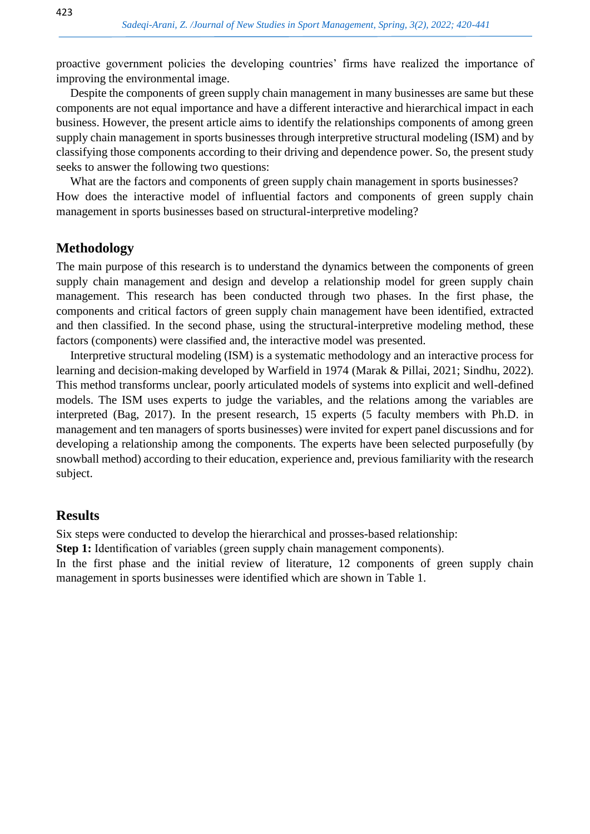proactive government policies the developing countries' firms have realized the importance of improving the environmental image.

Despite the components of green supply chain management in many businesses are same but these components are not equal importance and have a different interactive and hierarchical impact in each business. However, the present article aims to identify the relationships components of among green supply chain management in sports businesses through interpretive structural modeling (ISM) and by classifying those components according to their driving and dependence power. So, the present study seeks to answer the following two questions:

What are the factors and components of green supply chain management in sports businesses? How does the interactive model of influential factors and components of green supply chain management in sports businesses based on structural-interpretive modeling?

## **Methodology**

The main purpose of this research is to understand the dynamics between the components of green supply chain management and design and develop a relationship model for green supply chain management. This research has been conducted through two phases. In the first phase, the components and critical factors of green supply chain management have been identified, extracted and then classified. In the second phase, using the structural-interpretive modeling method, these factors (components) were classified and, the interactive model was presented.

Interpretive structural modeling (ISM) is a systematic methodology and an interactive process for learning and decision-making developed by Warfield in 1974 [\(Marak & Pillai, 2021;](#page-20-14) [Sindhu, 2022\)](#page-21-15). This method transforms unclear, poorly articulated models of systems into explicit and well-defined models. The ISM uses experts to judge the variables, and the relations among the variables are interpreted [\(Bag, 2017\)](#page-19-13). In the present research, 15 experts (5 faculty members with Ph.D. in management and ten managers of sports businesses) were invited for expert panel discussions and for developing a relationship among the components. The experts have been selected purposefully (by snowball method) according to their education, experience and, previous familiarity with the research subject.

## **Results**

Six steps were conducted to develop the hierarchical and prosses-based relationship:

**Step 1:** Identification of variables (green supply chain management components).

In the first phase and the initial review of literature, 12 components of green supply chain management in sports businesses were identified which are shown in Table 1.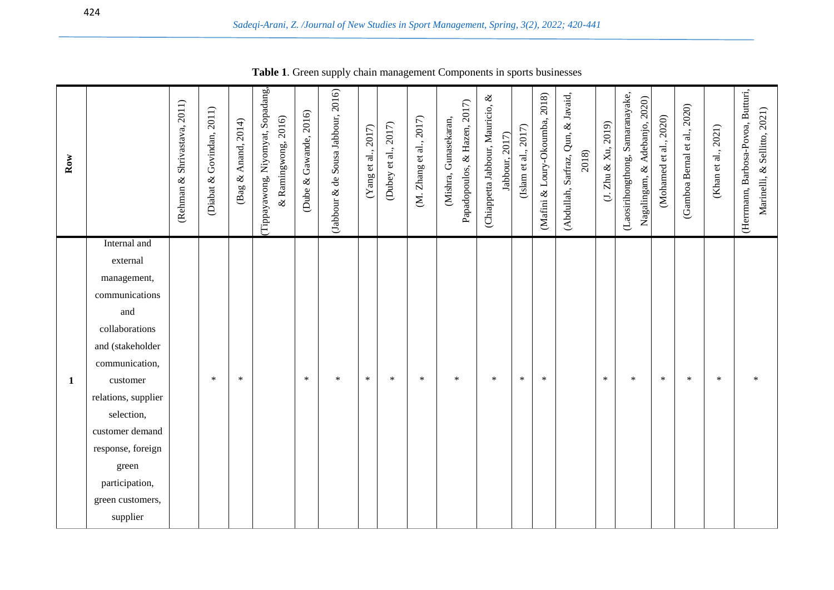| $_{\rm Row}$ |                                                                                                                                                                                                                                                                              | (Rehman & Shrivastava, 2011) | 2011)<br>Govindan,<br>(Diabat $\&$ | 2014)<br>Anand,<br>$\infty$<br>$\mathbf{gag}$ | (Tippayawong, Niyomyat, Sopadang,<br>& Ramingwong, 2016) | 2016)<br>(Dube & Gawande, | (Jabbour & de Sousa Jabbour, 2016) | (Yang et al., 2017) | (Dubey et al., 2017) | (M. Zhang et al., 2017) | Papadopoulos, & Hazen, 2017)<br>(Mishra, Gunasekaran, | (Chiappetta Jabbour, Mauricio, &<br>Jabbour, 2017) | (Islam et al., 2017) | (Mafini & Loury-Okoumba, 2018) | & Javaid,<br>Qun,<br>2018)<br>(Abdullah, Sarfraz, | Zhu & Xu, 2019)<br>Ğ. | (Laosirihongthong, Samaranayake,<br>& Adebanjo, 2020)<br>Nagalingam, | (Mohamed et al., 2020) | (Gamboa Bernal et al., 2020) | (Khan et al., 2021) | (Herrmann, Barbosa-Povoa, Butturi,<br>Marinelli, & Sellitto, 2021) |
|--------------|------------------------------------------------------------------------------------------------------------------------------------------------------------------------------------------------------------------------------------------------------------------------------|------------------------------|------------------------------------|-----------------------------------------------|----------------------------------------------------------|---------------------------|------------------------------------|---------------------|----------------------|-------------------------|-------------------------------------------------------|----------------------------------------------------|----------------------|--------------------------------|---------------------------------------------------|-----------------------|----------------------------------------------------------------------|------------------------|------------------------------|---------------------|--------------------------------------------------------------------|
| $\mathbf{1}$ | Internal and<br>external<br>management,<br>communications<br>and<br>collaborations<br>and (stakeholder<br>communication,<br>customer<br>relations, supplier<br>selection,<br>customer demand<br>response, foreign<br>green<br>participation,<br>green customers,<br>supplier |                              | $\ast$                             | $\ast$                                        |                                                          | $\ast$                    | $\ast$                             | $\ast$              | $\ast$               | $\ast$                  | $\ast$                                                | $\ast$                                             | $\ast$               | $\ast$                         |                                                   | $\ast$                | $\ast$                                                               | $\ast$                 | $\ast$                       | $\ast$              | $\ast$                                                             |

**Table 1**. Green supply chain management Components in sports businesses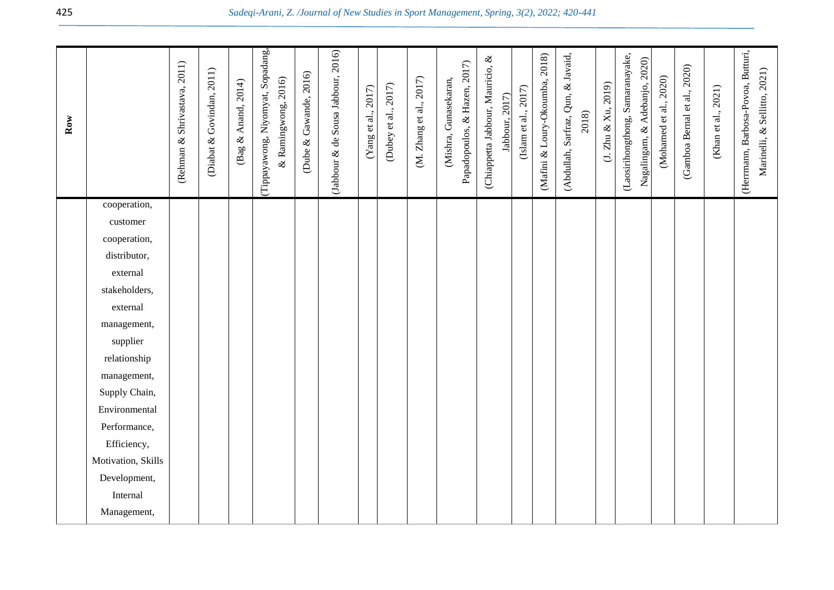| $_{\rm Row}$ |                          | (Rehman & Shrivastava, 2011) | (Diabat & Govindan, 2011) | (Bag & Anand, 2014) | Tippayawong, Niyomyat, Sopadang,<br>& Ramingwong, 2016) | (Dube & Gawande, 2016) | (Jabbour & de Sousa Jabbour, 2016) | $({\rm Yang}$ et al., 2017) | (Dubey et al., 2017) | (M. Zhang et al., 2017) | Papadopoulos, & Hazen, 2017)<br>(Mishra, Gunasekaran, | (Chiappetta Jabbour, Mauricio, & | Jabbour, 2017) | (Islam et al., $2017$ ) | (Mafini & Loury-Okoumba, 2018) | (Abdullah, Sarfraz, Qun, & Javaid,<br>2018) | (3. Zhu & Xu, 2019) | (Laosirihongthong, Samaranayake,<br>Nagalingam, & Adebanjo, 2020) | (Mohamed et al., 2020) | (Gamboa Bernal et al., 2020) | $(Khan et al., 2021)$ | (Herrmann, Barbosa-Povoa, Butturi,<br>Marinelli, & Sellitto, 2021) |
|--------------|--------------------------|------------------------------|---------------------------|---------------------|---------------------------------------------------------|------------------------|------------------------------------|-----------------------------|----------------------|-------------------------|-------------------------------------------------------|----------------------------------|----------------|-------------------------|--------------------------------|---------------------------------------------|---------------------|-------------------------------------------------------------------|------------------------|------------------------------|-----------------------|--------------------------------------------------------------------|
|              | cooperation,<br>customer |                              |                           |                     |                                                         |                        |                                    |                             |                      |                         |                                                       |                                  |                |                         |                                |                                             |                     |                                                                   |                        |                              |                       |                                                                    |
|              | cooperation,             |                              |                           |                     |                                                         |                        |                                    |                             |                      |                         |                                                       |                                  |                |                         |                                |                                             |                     |                                                                   |                        |                              |                       |                                                                    |
|              | distributor,             |                              |                           |                     |                                                         |                        |                                    |                             |                      |                         |                                                       |                                  |                |                         |                                |                                             |                     |                                                                   |                        |                              |                       |                                                                    |
|              | external                 |                              |                           |                     |                                                         |                        |                                    |                             |                      |                         |                                                       |                                  |                |                         |                                |                                             |                     |                                                                   |                        |                              |                       |                                                                    |
|              | stakeholders,            |                              |                           |                     |                                                         |                        |                                    |                             |                      |                         |                                                       |                                  |                |                         |                                |                                             |                     |                                                                   |                        |                              |                       |                                                                    |
|              | external                 |                              |                           |                     |                                                         |                        |                                    |                             |                      |                         |                                                       |                                  |                |                         |                                |                                             |                     |                                                                   |                        |                              |                       |                                                                    |
|              | management,              |                              |                           |                     |                                                         |                        |                                    |                             |                      |                         |                                                       |                                  |                |                         |                                |                                             |                     |                                                                   |                        |                              |                       |                                                                    |
|              | supplier                 |                              |                           |                     |                                                         |                        |                                    |                             |                      |                         |                                                       |                                  |                |                         |                                |                                             |                     |                                                                   |                        |                              |                       |                                                                    |
|              | relationship             |                              |                           |                     |                                                         |                        |                                    |                             |                      |                         |                                                       |                                  |                |                         |                                |                                             |                     |                                                                   |                        |                              |                       |                                                                    |
|              | management,              |                              |                           |                     |                                                         |                        |                                    |                             |                      |                         |                                                       |                                  |                |                         |                                |                                             |                     |                                                                   |                        |                              |                       |                                                                    |
|              | Supply Chain,            |                              |                           |                     |                                                         |                        |                                    |                             |                      |                         |                                                       |                                  |                |                         |                                |                                             |                     |                                                                   |                        |                              |                       |                                                                    |
|              | Environmental            |                              |                           |                     |                                                         |                        |                                    |                             |                      |                         |                                                       |                                  |                |                         |                                |                                             |                     |                                                                   |                        |                              |                       |                                                                    |
|              | Performance,             |                              |                           |                     |                                                         |                        |                                    |                             |                      |                         |                                                       |                                  |                |                         |                                |                                             |                     |                                                                   |                        |                              |                       |                                                                    |
|              | Efficiency,              |                              |                           |                     |                                                         |                        |                                    |                             |                      |                         |                                                       |                                  |                |                         |                                |                                             |                     |                                                                   |                        |                              |                       |                                                                    |
|              | Motivation, Skills       |                              |                           |                     |                                                         |                        |                                    |                             |                      |                         |                                                       |                                  |                |                         |                                |                                             |                     |                                                                   |                        |                              |                       |                                                                    |
|              | Development,             |                              |                           |                     |                                                         |                        |                                    |                             |                      |                         |                                                       |                                  |                |                         |                                |                                             |                     |                                                                   |                        |                              |                       |                                                                    |
|              | Internal                 |                              |                           |                     |                                                         |                        |                                    |                             |                      |                         |                                                       |                                  |                |                         |                                |                                             |                     |                                                                   |                        |                              |                       |                                                                    |
|              | Management,              |                              |                           |                     |                                                         |                        |                                    |                             |                      |                         |                                                       |                                  |                |                         |                                |                                             |                     |                                                                   |                        |                              |                       |                                                                    |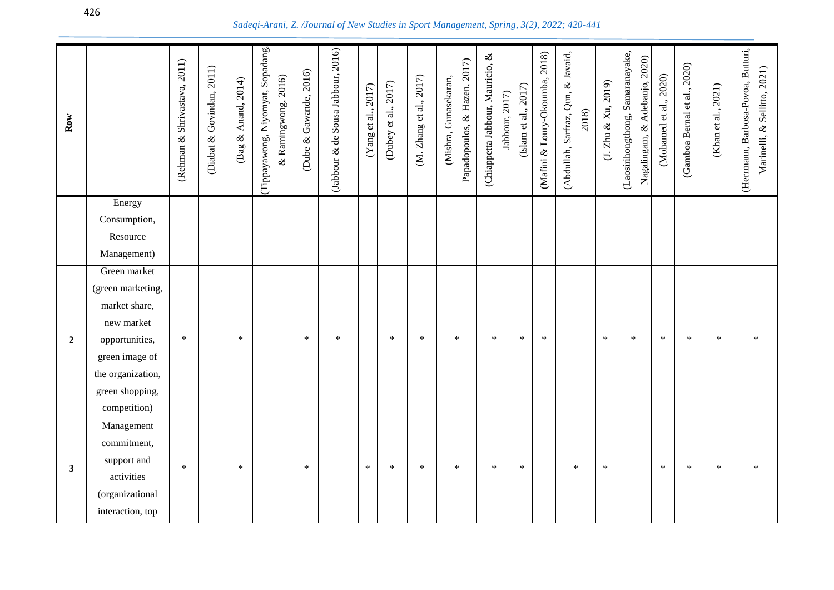| Row            |                        | (Rehman & Shrivastava, 2011) | (Diabat & Govindan, 2011) | (Bag & Anand, 2014) | (Tippayawong, Niyomyat, Sopadang,<br>& Ramingwong, 2016) | (Dube & Gawande, 2016) | (Jabbour & de Sousa Jabbour, 2016) | $({\rm Yang~et~al.}, 2017)$ | (Dubey et al., 2017) | (M. Zhang et al., 2017) | Papadopoulos, & Hazen, 2017)<br>Gunasekaran,<br>(Mishra, | (Chiappetta Jabbour, Mauricio, &<br>Jabbour, 2017) | (Islam et al., 2017) | (Mafini & Loury-Okoumba, 2018) | (Abdullah, Sarfraz, Qun, & Javaid,<br>2018) | (J. Zhu & Xu, 2019) | (Laosirihongthong, Samaranayake,<br>Nagalingam, & Adebanjo, 2020) | Mohamed et al., 2020) | (Gamboa Bernal et al., 2020) | (Khan et al., 2021) | (Herrmann, Barbosa-Povoa, Butturi,<br>Marinelli, & Sellitto, 2021) |
|----------------|------------------------|------------------------------|---------------------------|---------------------|----------------------------------------------------------|------------------------|------------------------------------|-----------------------------|----------------------|-------------------------|----------------------------------------------------------|----------------------------------------------------|----------------------|--------------------------------|---------------------------------------------|---------------------|-------------------------------------------------------------------|-----------------------|------------------------------|---------------------|--------------------------------------------------------------------|
|                | Energy<br>Consumption, |                              |                           |                     |                                                          |                        |                                    |                             |                      |                         |                                                          |                                                    |                      |                                |                                             |                     |                                                                   |                       |                              |                     |                                                                    |
|                | Resource               |                              |                           |                     |                                                          |                        |                                    |                             |                      |                         |                                                          |                                                    |                      |                                |                                             |                     |                                                                   |                       |                              |                     |                                                                    |
|                | Management)            |                              |                           |                     |                                                          |                        |                                    |                             |                      |                         |                                                          |                                                    |                      |                                |                                             |                     |                                                                   |                       |                              |                     |                                                                    |
|                | Green market           |                              |                           |                     |                                                          |                        |                                    |                             |                      |                         |                                                          |                                                    |                      |                                |                                             |                     |                                                                   |                       |                              |                     |                                                                    |
|                | (green marketing,      |                              |                           |                     |                                                          |                        |                                    |                             |                      |                         |                                                          |                                                    |                      |                                |                                             |                     |                                                                   |                       |                              |                     |                                                                    |
|                | market share,          |                              |                           |                     |                                                          |                        |                                    |                             |                      |                         |                                                          |                                                    |                      |                                |                                             |                     |                                                                   |                       |                              |                     |                                                                    |
|                | new market             |                              |                           |                     |                                                          |                        |                                    |                             |                      |                         |                                                          |                                                    |                      |                                |                                             |                     |                                                                   |                       |                              |                     |                                                                    |
| $\overline{2}$ | opportunities,         | $\ast$                       |                           | $\ast$              |                                                          | $\ast$                 | $\ast$                             |                             | $\ast$               | $\ast$                  | $\ast$                                                   | $\ast$                                             | $\ast$               | $\ast$                         |                                             | $\ast$              | $\ast$                                                            | $\ast$                | $\ast$                       | $\ast$              | $\ast$                                                             |
|                | green image of         |                              |                           |                     |                                                          |                        |                                    |                             |                      |                         |                                                          |                                                    |                      |                                |                                             |                     |                                                                   |                       |                              |                     |                                                                    |
|                | the organization,      |                              |                           |                     |                                                          |                        |                                    |                             |                      |                         |                                                          |                                                    |                      |                                |                                             |                     |                                                                   |                       |                              |                     |                                                                    |
|                | green shopping,        |                              |                           |                     |                                                          |                        |                                    |                             |                      |                         |                                                          |                                                    |                      |                                |                                             |                     |                                                                   |                       |                              |                     |                                                                    |
|                | competition)           |                              |                           |                     |                                                          |                        |                                    |                             |                      |                         |                                                          |                                                    |                      |                                |                                             |                     |                                                                   |                       |                              |                     |                                                                    |
|                | Management             |                              |                           |                     |                                                          |                        |                                    |                             |                      |                         |                                                          |                                                    |                      |                                |                                             |                     |                                                                   |                       |                              |                     |                                                                    |
|                | commitment,            |                              |                           |                     |                                                          |                        |                                    |                             |                      |                         |                                                          |                                                    |                      |                                |                                             |                     |                                                                   |                       |                              |                     |                                                                    |
| $\mathbf{3}$   | support and            | $\ast$                       |                           | $\ast$              |                                                          | $\ast$                 |                                    | $\ast$                      | $\ast$               | $\ast$                  | $\ast$                                                   | $\ast$                                             | $\ast$               |                                | $\ast$                                      | $\ast$              |                                                                   | $\ast$                | $\ast$                       | $\ast$              |                                                                    |
|                | activities             |                              |                           |                     |                                                          |                        |                                    |                             |                      |                         |                                                          |                                                    |                      |                                |                                             |                     |                                                                   |                       |                              |                     |                                                                    |
|                | (organizational        |                              |                           |                     |                                                          |                        |                                    |                             |                      |                         |                                                          |                                                    |                      |                                |                                             |                     |                                                                   |                       |                              |                     |                                                                    |
|                | interaction, top       |                              |                           |                     |                                                          |                        |                                    |                             |                      |                         |                                                          |                                                    |                      |                                |                                             |                     |                                                                   |                       |                              |                     |                                                                    |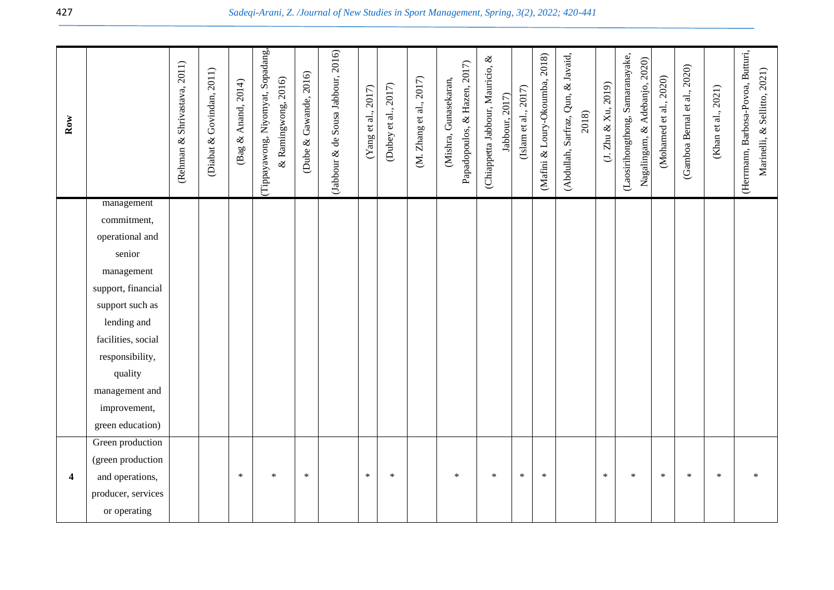| $_{\rm Row}$ |                           | (Rehman & Shrivastava, 2011) | (Diabat & Govindan, 2011) | (Bag & Anand, 2014) | Tippayawong, Niyomyat, Sopadang,<br>$\&$ Ramingwong, 2016) | (Dube & Gawande, 2016) | (Jabbour & de Sousa Jabbour, 2016) | $(\Upsilon$ ang et al., 2017) | (Dubey et al., 2017) | (M. Zhang et al., 2017) | Papadopoulos, & Hazen, 2017)<br>Gunasekaran,<br>(Mishra, | (Chiappetta Jabbour, Mauricio, &<br>Jabbour, 2017) | (Islam et al., 2017) | (Mafini & Loury-Okoumba, 2018) | (Abdullah, Sarfraz, Qun, & Javaid,<br>2018) | (3. Zhu & Xu, 2019) | (Laosirihongthong, Samaranayake,<br>Nagalingam, & Adebanjo, 2020) | (Mohamed et al., 2020) | (Gamboa Bernal et al., 2020) | (Khan et al., 2021) | (Herrmann, Barbosa-Povoa, Butturi,<br>Marinelli, & Sellitto, 2021) |
|--------------|---------------------------|------------------------------|---------------------------|---------------------|------------------------------------------------------------|------------------------|------------------------------------|-------------------------------|----------------------|-------------------------|----------------------------------------------------------|----------------------------------------------------|----------------------|--------------------------------|---------------------------------------------|---------------------|-------------------------------------------------------------------|------------------------|------------------------------|---------------------|--------------------------------------------------------------------|
|              | management<br>commitment, |                              |                           |                     |                                                            |                        |                                    |                               |                      |                         |                                                          |                                                    |                      |                                |                                             |                     |                                                                   |                        |                              |                     |                                                                    |
|              | operational and           |                              |                           |                     |                                                            |                        |                                    |                               |                      |                         |                                                          |                                                    |                      |                                |                                             |                     |                                                                   |                        |                              |                     |                                                                    |
|              | senior                    |                              |                           |                     |                                                            |                        |                                    |                               |                      |                         |                                                          |                                                    |                      |                                |                                             |                     |                                                                   |                        |                              |                     |                                                                    |
|              | management                |                              |                           |                     |                                                            |                        |                                    |                               |                      |                         |                                                          |                                                    |                      |                                |                                             |                     |                                                                   |                        |                              |                     |                                                                    |
|              | support, financial        |                              |                           |                     |                                                            |                        |                                    |                               |                      |                         |                                                          |                                                    |                      |                                |                                             |                     |                                                                   |                        |                              |                     |                                                                    |
|              | support such as           |                              |                           |                     |                                                            |                        |                                    |                               |                      |                         |                                                          |                                                    |                      |                                |                                             |                     |                                                                   |                        |                              |                     |                                                                    |
|              | lending and               |                              |                           |                     |                                                            |                        |                                    |                               |                      |                         |                                                          |                                                    |                      |                                |                                             |                     |                                                                   |                        |                              |                     |                                                                    |
|              | facilities, social        |                              |                           |                     |                                                            |                        |                                    |                               |                      |                         |                                                          |                                                    |                      |                                |                                             |                     |                                                                   |                        |                              |                     |                                                                    |
|              | responsibility,           |                              |                           |                     |                                                            |                        |                                    |                               |                      |                         |                                                          |                                                    |                      |                                |                                             |                     |                                                                   |                        |                              |                     |                                                                    |
|              | quality                   |                              |                           |                     |                                                            |                        |                                    |                               |                      |                         |                                                          |                                                    |                      |                                |                                             |                     |                                                                   |                        |                              |                     |                                                                    |
|              | management and            |                              |                           |                     |                                                            |                        |                                    |                               |                      |                         |                                                          |                                                    |                      |                                |                                             |                     |                                                                   |                        |                              |                     |                                                                    |
|              | improvement,              |                              |                           |                     |                                                            |                        |                                    |                               |                      |                         |                                                          |                                                    |                      |                                |                                             |                     |                                                                   |                        |                              |                     |                                                                    |
|              | green education)          |                              |                           |                     |                                                            |                        |                                    |                               |                      |                         |                                                          |                                                    |                      |                                |                                             |                     |                                                                   |                        |                              |                     |                                                                    |
|              | Green production          |                              |                           |                     |                                                            |                        |                                    |                               |                      |                         |                                                          |                                                    |                      |                                |                                             |                     |                                                                   |                        |                              |                     |                                                                    |
|              | (green production         |                              |                           | $\ast$              | $\ast$                                                     | $\ast$                 |                                    | $\ast$                        | $\ast$               |                         | $\ast$                                                   | $\ast$                                             | $\ast$               | $\ast$                         |                                             | $\ast$              | $\ast$                                                            | $\ast$                 | $\ast$                       | $\ast$              | $\ast$                                                             |
| 4            | and operations,           |                              |                           |                     |                                                            |                        |                                    |                               |                      |                         |                                                          |                                                    |                      |                                |                                             |                     |                                                                   |                        |                              |                     |                                                                    |
|              | producer, services        |                              |                           |                     |                                                            |                        |                                    |                               |                      |                         |                                                          |                                                    |                      |                                |                                             |                     |                                                                   |                        |                              |                     |                                                                    |
|              | or operating              |                              |                           |                     |                                                            |                        |                                    |                               |                      |                         |                                                          |                                                    |                      |                                |                                             |                     |                                                                   |                        |                              |                     |                                                                    |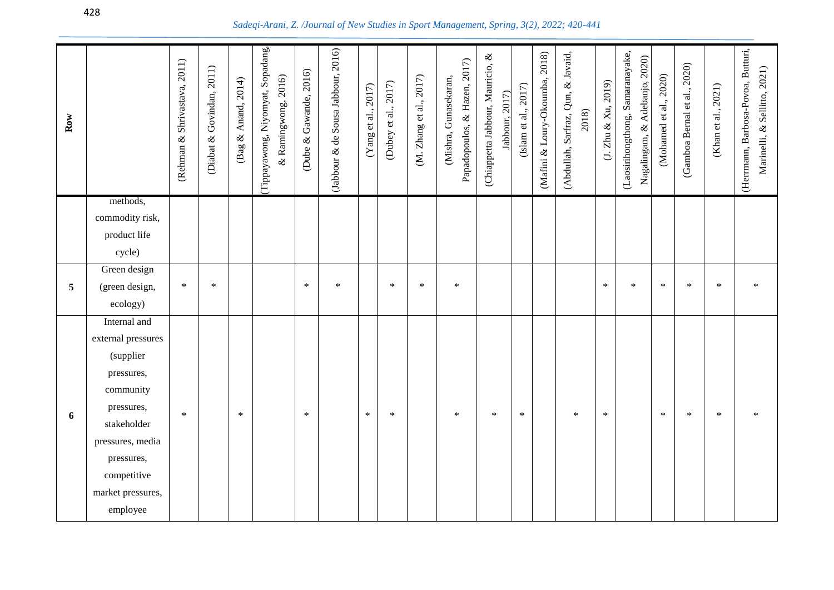| Row |                             | (Rehman & Shrivastava, 2011) | (Diabat & Govindan, 2011) | (Bag & Anand, 2014) | (Tippayawong, Niyomyat, Sopadang,<br>$\&$ Ramingwong, 2016) | (Dube & Gawande, 2016) | (Jabbour & de Sousa Jabbour, 2016) | $(\mathrm{Yang}$ et al., 2017) | (Dubey et al., 2017) | (M. Zhang et al., 2017) | Papadopoulos, & Hazen, 2017)<br>(Mishra, Gunasekaran, | (Chiappetta Jabbour, Mauricio, &<br>Jabbour, 2017) | (Islam et al., 2017) | (Mafini & Loury-Okoumba, 2018) | (Abdullah, Sarfraz, Qun, & Javaid,<br>2018) | $(J. Zhu \& Xu, 2019)$ | (Laosirihongthong, Samaranayake,<br>Nagalingam, & Adebanjo, 2020) | (Mohamed et al., 2020) | (Gamboa Bernal et al., 2020) | (Khan et al., 2021) | (Herrmann, Barbosa-Povoa, Butturi,<br>Marinelli, & Sellitto, 2021) |
|-----|-----------------------------|------------------------------|---------------------------|---------------------|-------------------------------------------------------------|------------------------|------------------------------------|--------------------------------|----------------------|-------------------------|-------------------------------------------------------|----------------------------------------------------|----------------------|--------------------------------|---------------------------------------------|------------------------|-------------------------------------------------------------------|------------------------|------------------------------|---------------------|--------------------------------------------------------------------|
|     | methods,<br>commodity risk, |                              |                           |                     |                                                             |                        |                                    |                                |                      |                         |                                                       |                                                    |                      |                                |                                             |                        |                                                                   |                        |                              |                     |                                                                    |
|     | product life                |                              |                           |                     |                                                             |                        |                                    |                                |                      |                         |                                                       |                                                    |                      |                                |                                             |                        |                                                                   |                        |                              |                     |                                                                    |
|     | cycle)                      |                              |                           |                     |                                                             |                        |                                    |                                |                      |                         |                                                       |                                                    |                      |                                |                                             |                        |                                                                   |                        |                              |                     |                                                                    |
|     | Green design                |                              |                           |                     |                                                             |                        |                                    |                                |                      |                         |                                                       |                                                    |                      |                                |                                             |                        |                                                                   |                        |                              |                     |                                                                    |
| 5   | (green design,              | $\ast$                       | $\ast$                    |                     |                                                             | $\ast$                 | $\ast$                             |                                | $\ast$               | $\ast$                  | $\ast$                                                |                                                    |                      |                                |                                             | $\ast$                 | $\ast$                                                            | $\ast$                 | $\ast$                       | $\ast$              | $\ast$                                                             |
|     | ecology)                    |                              |                           |                     |                                                             |                        |                                    |                                |                      |                         |                                                       |                                                    |                      |                                |                                             |                        |                                                                   |                        |                              |                     |                                                                    |
|     | Internal and                |                              |                           |                     |                                                             |                        |                                    |                                |                      |                         |                                                       |                                                    |                      |                                |                                             |                        |                                                                   |                        |                              |                     |                                                                    |
|     | external pressures          |                              |                           |                     |                                                             |                        |                                    |                                |                      |                         |                                                       |                                                    |                      |                                |                                             |                        |                                                                   |                        |                              |                     |                                                                    |
|     | (supplier                   |                              |                           |                     |                                                             |                        |                                    |                                |                      |                         |                                                       |                                                    |                      |                                |                                             |                        |                                                                   |                        |                              |                     |                                                                    |
|     | pressures,                  |                              |                           |                     |                                                             |                        |                                    |                                |                      |                         |                                                       |                                                    |                      |                                |                                             |                        |                                                                   |                        |                              |                     |                                                                    |
|     | community                   |                              |                           |                     |                                                             |                        |                                    |                                |                      |                         |                                                       |                                                    |                      |                                |                                             |                        |                                                                   |                        |                              |                     |                                                                    |
| 6   | pressures,<br>stakeholder   | $\ast$                       |                           | $\ast$              |                                                             | $\ast$                 |                                    | $\ast$                         | $\ast$               |                         | $\ast$                                                | $\ast$                                             | $\ast$               |                                | $\ast$                                      | $\ast$                 |                                                                   | $\ast$                 | $\ast$                       | $\ast$              | $\ast$                                                             |
|     | pressures, media            |                              |                           |                     |                                                             |                        |                                    |                                |                      |                         |                                                       |                                                    |                      |                                |                                             |                        |                                                                   |                        |                              |                     |                                                                    |
|     | pressures,                  |                              |                           |                     |                                                             |                        |                                    |                                |                      |                         |                                                       |                                                    |                      |                                |                                             |                        |                                                                   |                        |                              |                     |                                                                    |
|     | competitive                 |                              |                           |                     |                                                             |                        |                                    |                                |                      |                         |                                                       |                                                    |                      |                                |                                             |                        |                                                                   |                        |                              |                     |                                                                    |
|     | market pressures,           |                              |                           |                     |                                                             |                        |                                    |                                |                      |                         |                                                       |                                                    |                      |                                |                                             |                        |                                                                   |                        |                              |                     |                                                                    |
|     | employee                    |                              |                           |                     |                                                             |                        |                                    |                                |                      |                         |                                                       |                                                    |                      |                                |                                             |                        |                                                                   |                        |                              |                     |                                                                    |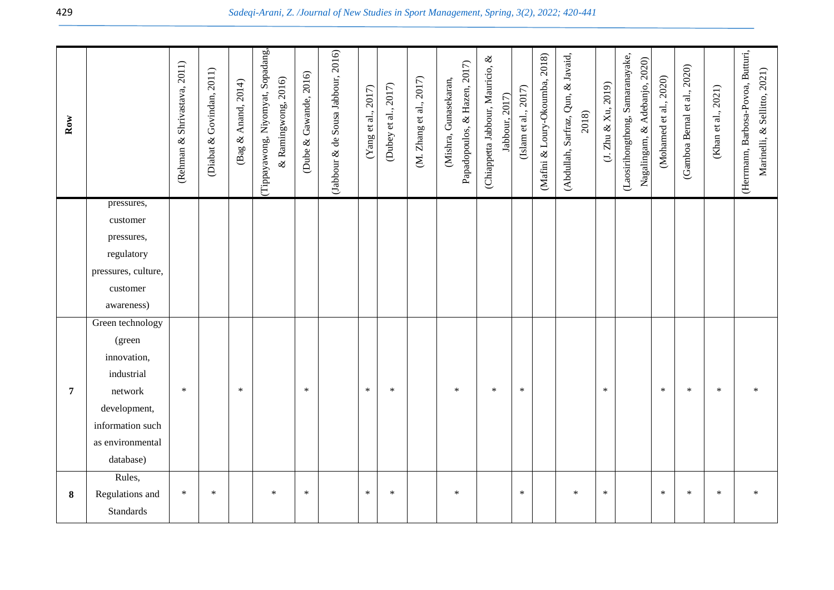| Row            |                           | (Rehman & Shrivastava, 2011) | (Diabat & Govindan, 2011) | (Bag & Anand, 2014) | Tippayawong, Niyomyat, Sopadang,<br>& Ramingwong, 2016) | Dube & Gawande, 2016) | (Jabbour & de Sousa Jabbour, 2016) | (Yang et al., 2017) | (Dubey et al., 2017) | (M. Zhang et al., 2017) | Papadopoulos, & Hazen, 2017)<br>Gunasekaran,<br>(Mishra, | $\otimes$<br>(Chiappetta Jabbour, Mauricio,<br>labbour, 2017) | (Islam et al., $2017$ ) | (Mafini & Loury-Okoumba, 2018) | (Abdullah, Sarfraz, Qun, & Javaid,<br>2018) | (J. Zhu & Xu, 2019) | (Laosirihongthong, Samaranayake,<br>Nagalingam, & Adebanjo, 2020) | (Mohamed et al., 2020) | (Gamboa Bernal et al., 2020) | (Khan et al., 2021) | (Herrmann, Barbosa-Povoa, Butturi,<br>Marinelli, & Sellitto, 2021) |
|----------------|---------------------------|------------------------------|---------------------------|---------------------|---------------------------------------------------------|-----------------------|------------------------------------|---------------------|----------------------|-------------------------|----------------------------------------------------------|---------------------------------------------------------------|-------------------------|--------------------------------|---------------------------------------------|---------------------|-------------------------------------------------------------------|------------------------|------------------------------|---------------------|--------------------------------------------------------------------|
|                | pressures,<br>customer    |                              |                           |                     |                                                         |                       |                                    |                     |                      |                         |                                                          |                                                               |                         |                                |                                             |                     |                                                                   |                        |                              |                     |                                                                    |
|                | pressures,                |                              |                           |                     |                                                         |                       |                                    |                     |                      |                         |                                                          |                                                               |                         |                                |                                             |                     |                                                                   |                        |                              |                     |                                                                    |
|                | regulatory                |                              |                           |                     |                                                         |                       |                                    |                     |                      |                         |                                                          |                                                               |                         |                                |                                             |                     |                                                                   |                        |                              |                     |                                                                    |
|                | pressures, culture,       |                              |                           |                     |                                                         |                       |                                    |                     |                      |                         |                                                          |                                                               |                         |                                |                                             |                     |                                                                   |                        |                              |                     |                                                                    |
|                | customer                  |                              |                           |                     |                                                         |                       |                                    |                     |                      |                         |                                                          |                                                               |                         |                                |                                             |                     |                                                                   |                        |                              |                     |                                                                    |
|                | awareness)                |                              |                           |                     |                                                         |                       |                                    |                     |                      |                         |                                                          |                                                               |                         |                                |                                             |                     |                                                                   |                        |                              |                     |                                                                    |
|                | Green technology          |                              |                           |                     |                                                         |                       |                                    |                     |                      |                         |                                                          |                                                               |                         |                                |                                             |                     |                                                                   |                        |                              |                     |                                                                    |
|                | (green                    |                              |                           |                     |                                                         |                       |                                    |                     |                      |                         |                                                          |                                                               |                         |                                |                                             |                     |                                                                   |                        |                              |                     |                                                                    |
|                | innovation,<br>industrial |                              |                           |                     |                                                         |                       |                                    |                     |                      |                         |                                                          |                                                               |                         |                                |                                             |                     |                                                                   |                        |                              |                     |                                                                    |
| $\overline{7}$ | network                   | $\ast$                       |                           | $\ast$              |                                                         | $\ast$                |                                    | $\ast$              | $\ast$               |                         | $\ast$                                                   | $\ast$                                                        | $\ast$                  |                                |                                             | $\ast$              |                                                                   | $\ast$                 | $\ast$                       | $\ast$              | $\ast$                                                             |
|                | development,              |                              |                           |                     |                                                         |                       |                                    |                     |                      |                         |                                                          |                                                               |                         |                                |                                             |                     |                                                                   |                        |                              |                     |                                                                    |
|                | information such          |                              |                           |                     |                                                         |                       |                                    |                     |                      |                         |                                                          |                                                               |                         |                                |                                             |                     |                                                                   |                        |                              |                     |                                                                    |
|                | as environmental          |                              |                           |                     |                                                         |                       |                                    |                     |                      |                         |                                                          |                                                               |                         |                                |                                             |                     |                                                                   |                        |                              |                     |                                                                    |
|                | database)                 |                              |                           |                     |                                                         |                       |                                    |                     |                      |                         |                                                          |                                                               |                         |                                |                                             |                     |                                                                   |                        |                              |                     |                                                                    |
|                | Rules,                    |                              |                           |                     |                                                         |                       |                                    |                     |                      |                         |                                                          |                                                               |                         |                                |                                             |                     |                                                                   |                        |                              |                     |                                                                    |
| 8              | Regulations and           | $\ast$                       | $\ast$                    |                     | $\ast$                                                  | $\ast$                |                                    | $\ast$              | $\ast$               |                         | $\ast$                                                   |                                                               | $\ast$                  |                                | $\ast$                                      | $\ast$              |                                                                   | *                      | ∗                            | $\ast$              |                                                                    |
|                | <b>Standards</b>          |                              |                           |                     |                                                         |                       |                                    |                     |                      |                         |                                                          |                                                               |                         |                                |                                             |                     |                                                                   |                        |                              |                     |                                                                    |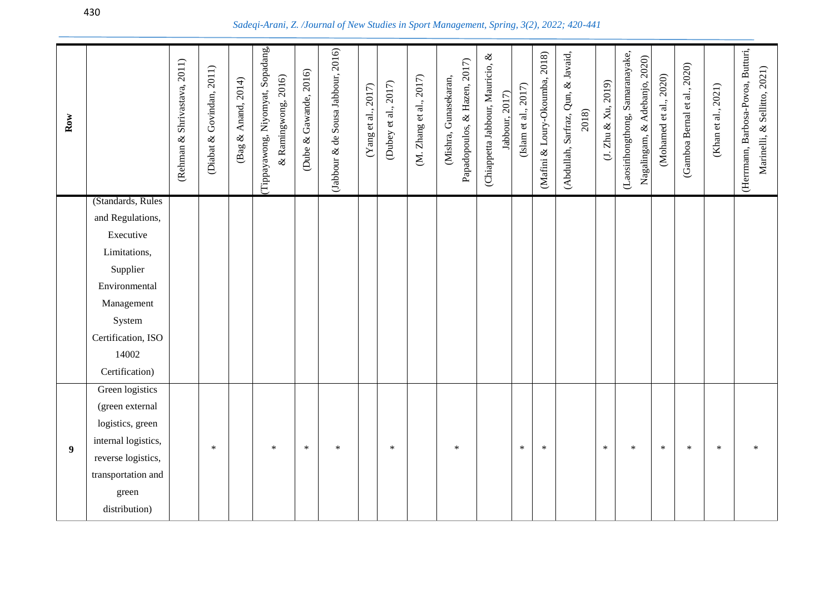| $_{\rm Row}$     |                                       | (Rehman & Shrivastava, 2011) | (Diabat & Govindan, 2011) | (Bag & Anand, 2014) | (Tippayawong, Niyomyat, Sopadang,<br>& Ramingwong, 2016) | (Dube & Gawande, 2016) | (Jabbour & de Sousa Jabbour, 2016) | (Yang et al., 2017) | (Dubey et al., 2017) | (M. Zhang et al., 2017) | Papadopoulos, & Hazen, 2017)<br>(Mishra, Gunasekaran, | (Chiappetta Jabbour, Mauricio, & | Jabbour, 2017) | (Mafini & Loury-Okoumba, 2018)<br>(Islam et al., $2017$ ) | (Abdullah, Sarfraz, Qun, & Javaid,<br>$2018)$ | (J. Zhu & Xu, 2019) | (Laosirihongthong, Samaranayake,<br>Nagalingam, & Adebanjo, 2020) | (Mohamed et al., 2020) | (Gamboa Bernal et al., 2020) | (Khan et al., 2021) | (Herrmann, Barbosa-Povoa, Butturi,<br>Marinelli, & Sellitto, 2021) |
|------------------|---------------------------------------|------------------------------|---------------------------|---------------------|----------------------------------------------------------|------------------------|------------------------------------|---------------------|----------------------|-------------------------|-------------------------------------------------------|----------------------------------|----------------|-----------------------------------------------------------|-----------------------------------------------|---------------------|-------------------------------------------------------------------|------------------------|------------------------------|---------------------|--------------------------------------------------------------------|
|                  | (Standards, Rules<br>and Regulations, |                              |                           |                     |                                                          |                        |                                    |                     |                      |                         |                                                       |                                  |                |                                                           |                                               |                     |                                                                   |                        |                              |                     |                                                                    |
|                  | Executive                             |                              |                           |                     |                                                          |                        |                                    |                     |                      |                         |                                                       |                                  |                |                                                           |                                               |                     |                                                                   |                        |                              |                     |                                                                    |
|                  | Limitations,                          |                              |                           |                     |                                                          |                        |                                    |                     |                      |                         |                                                       |                                  |                |                                                           |                                               |                     |                                                                   |                        |                              |                     |                                                                    |
|                  | Supplier                              |                              |                           |                     |                                                          |                        |                                    |                     |                      |                         |                                                       |                                  |                |                                                           |                                               |                     |                                                                   |                        |                              |                     |                                                                    |
|                  | Environmental                         |                              |                           |                     |                                                          |                        |                                    |                     |                      |                         |                                                       |                                  |                |                                                           |                                               |                     |                                                                   |                        |                              |                     |                                                                    |
|                  | Management                            |                              |                           |                     |                                                          |                        |                                    |                     |                      |                         |                                                       |                                  |                |                                                           |                                               |                     |                                                                   |                        |                              |                     |                                                                    |
|                  | System                                |                              |                           |                     |                                                          |                        |                                    |                     |                      |                         |                                                       |                                  |                |                                                           |                                               |                     |                                                                   |                        |                              |                     |                                                                    |
|                  | Certification, ISO                    |                              |                           |                     |                                                          |                        |                                    |                     |                      |                         |                                                       |                                  |                |                                                           |                                               |                     |                                                                   |                        |                              |                     |                                                                    |
|                  | 14002                                 |                              |                           |                     |                                                          |                        |                                    |                     |                      |                         |                                                       |                                  |                |                                                           |                                               |                     |                                                                   |                        |                              |                     |                                                                    |
|                  | Certification)                        |                              |                           |                     |                                                          |                        |                                    |                     |                      |                         |                                                       |                                  |                |                                                           |                                               |                     |                                                                   |                        |                              |                     |                                                                    |
|                  | Green logistics                       |                              |                           |                     |                                                          |                        |                                    |                     |                      |                         |                                                       |                                  |                |                                                           |                                               |                     |                                                                   |                        |                              |                     |                                                                    |
|                  | (green external                       |                              |                           |                     |                                                          |                        |                                    |                     |                      |                         |                                                       |                                  |                |                                                           |                                               |                     |                                                                   |                        |                              |                     |                                                                    |
|                  | logistics, green                      |                              |                           |                     |                                                          |                        |                                    |                     |                      |                         |                                                       |                                  |                |                                                           |                                               |                     |                                                                   |                        |                              |                     |                                                                    |
| $\boldsymbol{9}$ | internal logistics,                   |                              | $\ast$                    |                     | $\ast$                                                   | $\ast$                 | $\ast$                             |                     | $\ast$               |                         | $\ast$                                                |                                  | $\ast$         | $\ast$                                                    |                                               | $\ast$              | $\ast$                                                            | $\ast$                 | $\ast$                       | $\ast$              |                                                                    |
|                  | reverse logistics,                    |                              |                           |                     |                                                          |                        |                                    |                     |                      |                         |                                                       |                                  |                |                                                           |                                               |                     |                                                                   |                        |                              |                     |                                                                    |
|                  | transportation and                    |                              |                           |                     |                                                          |                        |                                    |                     |                      |                         |                                                       |                                  |                |                                                           |                                               |                     |                                                                   |                        |                              |                     |                                                                    |
|                  | green                                 |                              |                           |                     |                                                          |                        |                                    |                     |                      |                         |                                                       |                                  |                |                                                           |                                               |                     |                                                                   |                        |                              |                     |                                                                    |
|                  | distribution)                         |                              |                           |                     |                                                          |                        |                                    |                     |                      |                         |                                                       |                                  |                |                                                           |                                               |                     |                                                                   |                        |                              |                     |                                                                    |

## *Sadeqi-Arani, Z. /Journal of New Studies in Sport Management, Spring, 3(2), 2022; 420-441*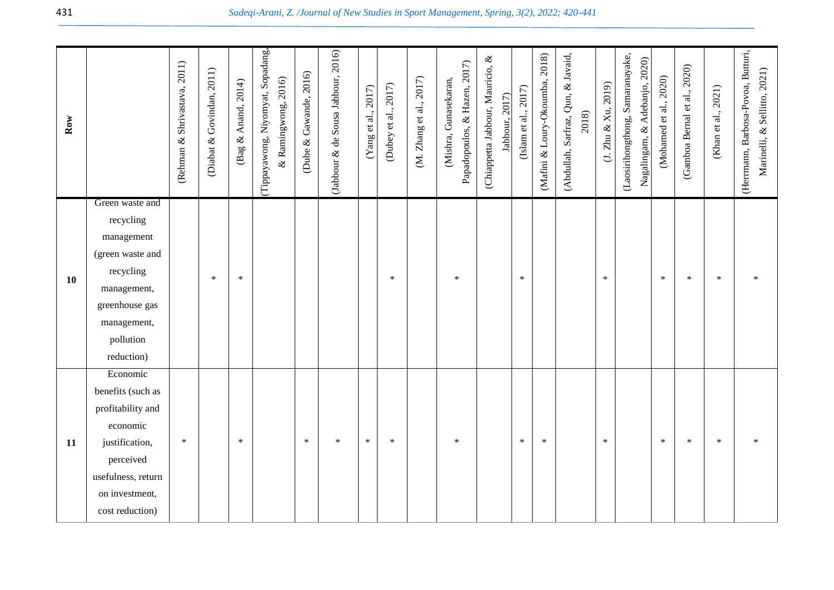|                                                                                                                                          | 2011)<br>(Rehman & Shrivastava, | 2011)<br>Govindan,<br>$\infty$<br>(Diabat | 2014)<br>Anand,<br>$\otimes$<br>(Bag | Sopadang,<br>2016)<br>Tippayawong, Niyomyat,<br>& Ramingwong, | 2016)<br>& Gawande,<br>(Dube | (Jabbour & de Sousa Jabbour, 2016) | 2017)<br>(Yang et al., | (Dubey et al., 2017) | 2017)<br>Zhang et al.,<br>É. | (Mishra, Gunasekaran, | ళ<br>(Chiappetta Jabbour, Mauricio, | 2017)<br>(Islam et al., | 2018)<br>(Mafini & Loury-Okoumba, | Qun, & Javaid,<br>2018)<br>(Abdullah, Sarfraz, | (1, Zhu & Xu, 2019) | (Laosirihongthong, Samaranayake,<br>2020) | (Mohamed et al., 2020) | 2020)<br>(Gamboa Bernal et al., | 2021)<br>al.,<br>(Khan et | (Herrmann, Barbosa-Povoa, Butturi,<br>Marinelli, & Sellitto, 2021) |
|------------------------------------------------------------------------------------------------------------------------------------------|---------------------------------|-------------------------------------------|--------------------------------------|---------------------------------------------------------------|------------------------------|------------------------------------|------------------------|----------------------|------------------------------|-----------------------|-------------------------------------|-------------------------|-----------------------------------|------------------------------------------------|---------------------|-------------------------------------------|------------------------|---------------------------------|---------------------------|--------------------------------------------------------------------|
| Green waste and<br>recycling<br>management<br>(green waste and<br>recycling<br>management,<br>greenhouse gas<br>management,<br>pollution |                                 | $\ast$                                    | $\ast$                               |                                                               |                              |                                    |                        | $\ast$               |                              | $\ast$                |                                     | $\ast$                  |                                   |                                                | $\ast$              |                                           | $\ast$                 | $\ast$                          | $\ast$                    | ∗                                                                  |
|                                                                                                                                          | reduction)                      |                                           |                                      |                                                               |                              |                                    |                        |                      |                              |                       | Papadopoulos, & Hazen, 2017)        | 2017)<br>Jabbour,       |                                   |                                                |                     |                                           |                        | Adebanjo,<br>Nagalingam, $\&$   |                           |                                                                    |

\* \* \* \* \* \* \* \* \* \* \* \* \* \*

**11**

Economic benefits (such as profitability and economic justification, perceived usefulness, return on investment, cost reduction)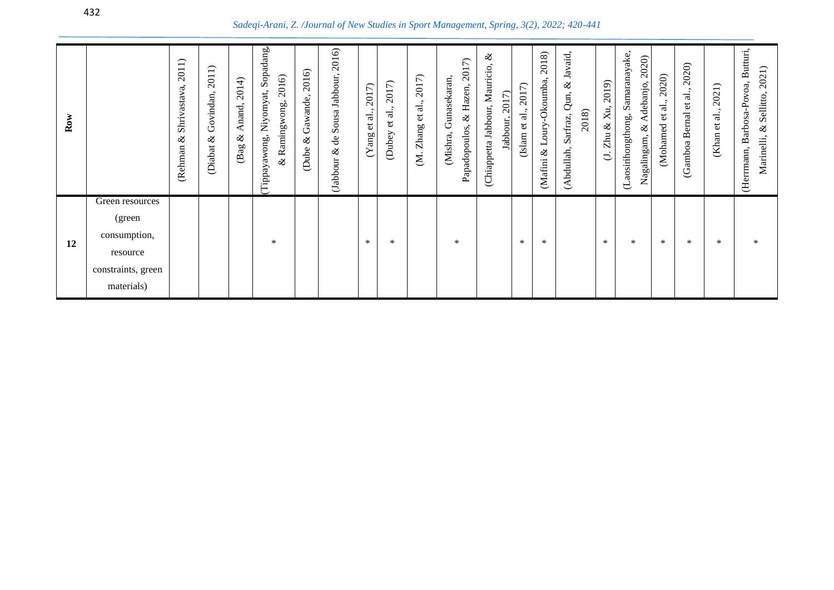*Sadeqi-Arani, Z. /Journal of New Studies in Sport Management, Spring, 3(2), 2022; 420-441*

| $_{\rm Row}$ |                    | $\overline{\phantom{1}}$<br>2011<br>Shrivastava,<br>ళ<br>(Rehman | 2011)<br>Govindan,<br>$\infty$<br><b>Diabat</b> | 2014)<br>Anand,<br>ళ<br>(Bag | Sopadang<br>2016)<br>Niyomyat,<br>& Ramingwong,<br>(Tippayawong, | 2016)<br>Gawande,<br>R,<br>(Dube | 2016)<br>Jabbour,<br>Sousa<br>ಕಿ<br>R,<br>(Jabbour | 2017)<br>et al.<br>(Yang) | 2017)<br>ನ<br>$\vec{e}$<br>(Dubey | $\widehat{\tau}$<br>201<br>ಸ<br>đ<br>go<br>$Z$ han<br>Š. | 7<br>201<br>Gunasekaran<br>Hazen,<br>Q,<br>Papadopoulos,<br>(Mishra, | ళ<br>Mauricio<br>2017<br>Jabbour,<br>Jabbour,<br>(Chiappetta | $\widehat{\tau}$<br>201<br>$\overline{a}$<br>$\mathfrak{v}$<br>(Islam | 2018)<br>-Okoumba<br>Amo<br>凵<br>$\propto$<br><b>Mafini</b> | Javaid,<br>Q,<br>Qun,<br>2018)<br>Sarfraz,<br>(Abdullah, | 2019)<br>Χu,<br>R,<br>Zhu<br>Ć. | Samaranayake,<br>2020)<br>Adebanjo,<br>(Laosirihongthong,<br>Q<br>Nagalingam, | 2020)<br>$\overline{\mathbf{a}}$<br>đ<br>Mohamed | 2020)<br>.<br>त<br>$\mathfrak{v}$<br><b>Bernal</b><br>(Gamboa | $\overline{\phantom{1}}$<br>2021<br>ನ<br>$\mathbf{e}$<br>(Khan | (Herrmann, Barbosa-Povoa, Butturi,<br>2021)<br>Sellitto,<br>$\infty$<br>Marinelli |
|--------------|--------------------|------------------------------------------------------------------|-------------------------------------------------|------------------------------|------------------------------------------------------------------|----------------------------------|----------------------------------------------------|---------------------------|-----------------------------------|----------------------------------------------------------|----------------------------------------------------------------------|--------------------------------------------------------------|-----------------------------------------------------------------------|-------------------------------------------------------------|----------------------------------------------------------|---------------------------------|-------------------------------------------------------------------------------|--------------------------------------------------|---------------------------------------------------------------|----------------------------------------------------------------|-----------------------------------------------------------------------------------|
|              | Green resources    |                                                                  |                                                 |                              |                                                                  |                                  |                                                    |                           |                                   |                                                          |                                                                      |                                                              |                                                                       |                                                             |                                                          |                                 |                                                                               |                                                  |                                                               |                                                                |                                                                                   |
|              | (green             |                                                                  |                                                 |                              |                                                                  |                                  |                                                    |                           |                                   |                                                          |                                                                      |                                                              |                                                                       |                                                             |                                                          |                                 |                                                                               |                                                  |                                                               |                                                                |                                                                                   |
| 12           | consumption,       |                                                                  |                                                 |                              | $\ast$                                                           |                                  |                                                    | $\ast$                    | $\ast$                            |                                                          | $\ast$                                                               |                                                              | *                                                                     | ∗                                                           |                                                          | $\ast$                          | ∗                                                                             | ∗                                                | $\ast$                                                        | ∗                                                              | ∗                                                                                 |
|              | resource           |                                                                  |                                                 |                              |                                                                  |                                  |                                                    |                           |                                   |                                                          |                                                                      |                                                              |                                                                       |                                                             |                                                          |                                 |                                                                               |                                                  |                                                               |                                                                |                                                                                   |
|              | constraints, green |                                                                  |                                                 |                              |                                                                  |                                  |                                                    |                           |                                   |                                                          |                                                                      |                                                              |                                                                       |                                                             |                                                          |                                 |                                                                               |                                                  |                                                               |                                                                |                                                                                   |
|              | materials)         |                                                                  |                                                 |                              |                                                                  |                                  |                                                    |                           |                                   |                                                          |                                                                      |                                                              |                                                                       |                                                             |                                                          |                                 |                                                                               |                                                  |                                                               |                                                                |                                                                                   |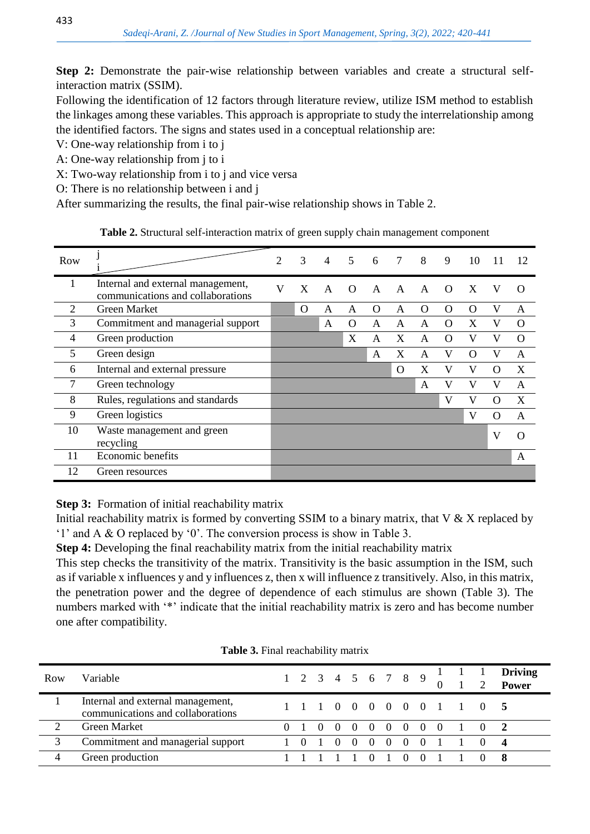**Step 2:** Demonstrate the pair-wise relationship between variables and create a structural selfinteraction matrix (SSIM).

Following the identification of 12 factors through literature review, utilize ISM method to establish the linkages among these variables. This approach is appropriate to study the interrelationship among the identified factors. The signs and states used in a conceptual relationship are:

V: One-way relationship from i to j

A: One-way relationship from j to i

X: Two-way relationship from i to j and vice versa

O: There is no relationship between i and j

After summarizing the results, the final pair-wise relationship shows in Table 2.

| Table 2. Structural self-interaction matrix of green supply chain management component |  |
|----------------------------------------------------------------------------------------|--|
|----------------------------------------------------------------------------------------|--|

| Row |                                                                        | $\overline{2}$ | 3        | $\overline{4}$ | 5        | 6            | $7\overline{ }$ | 8            | 9        | 10       |          | 12       |
|-----|------------------------------------------------------------------------|----------------|----------|----------------|----------|--------------|-----------------|--------------|----------|----------|----------|----------|
|     | Internal and external management,<br>communications and collaborations | V              | X        | $\mathsf{A}$   | $\Omega$ | $\mathsf{A}$ | $\mathbf{A}$    | $\mathsf{A}$ | $\Omega$ | X        | V        | $\Omega$ |
| 2   | <b>Green Market</b>                                                    |                | $\Omega$ | A              | A        | $\Omega$     | A               | $\Omega$     | Ω        | O        | V        | A        |
| 3   | Commitment and managerial support                                      |                |          | A              | $\Omega$ | A            | A               | A            | $\Omega$ | X        | V        | $\Omega$ |
| 4   | Green production                                                       |                |          |                | X        | A            | X               | A            | Ω        | V        | V        | $\Omega$ |
| 5   | Green design                                                           |                |          |                |          | A            | X               | A            | V        | $\Omega$ | V        | A        |
| 6   | Internal and external pressure                                         |                |          |                |          |              | $\Omega$        | X            | V        | V        | $\Omega$ | X        |
| 7   | Green technology                                                       |                |          |                |          |              |                 | A            | V        | V        | V        | A        |
| 8   | Rules, regulations and standards                                       |                |          |                |          |              |                 |              | V        | V        | $\Omega$ | X        |
| 9   | Green logistics                                                        |                |          |                |          |              |                 |              |          | V        | $\Omega$ | A        |
| 10  | Waste management and green<br>recycling                                |                |          |                |          |              |                 |              |          |          | V        | Ω        |
| 11  | Economic benefits                                                      |                |          |                |          |              |                 |              |          |          |          | A        |
| 12  | Green resources                                                        |                |          |                |          |              |                 |              |          |          |          |          |

**Step 3:** Formation of initial reachability matrix

Initial reachability matrix is formed by converting SSIM to a binary matrix, that  $V & X$  replaced by '1' and A & O replaced by '0'. The conversion process is show in Table 3.

**Step 4:** Developing the final reachability matrix from the initial reachability matrix

This step checks the transitivity of the matrix. Transitivity is the basic assumption in the ISM, such as if variable x influences y and y influences z, then x will influence z transitively. Also, in this matrix, the penetration power and the degree of dependence of each stimulus are shown (Table 3). The numbers marked with '\*' indicate that the initial reachability matrix is zero and has become number one after compatibility.

| Row | Variable                                                               |  |          |                                 |                |  |            | 1 2 3 4 5 6 7 8 9 $\frac{1}{0}$ $\frac{1}{1}$ $\frac{1}{2}$ |                           | <b>Driving</b><br>Power |
|-----|------------------------------------------------------------------------|--|----------|---------------------------------|----------------|--|------------|-------------------------------------------------------------|---------------------------|-------------------------|
|     | Internal and external management,<br>communications and collaborations |  |          |                                 |                |  |            |                                                             | 1 1 1 0 0 0 0 0 0 1 1 0 5 |                         |
|     | <b>Green Market</b>                                                    |  |          | $0 \t0 \t0 \t0 \t0 \t0 \t0 \t0$ |                |  |            | $1 \quad 0$                                                 |                           |                         |
|     | Commitment and managerial support                                      |  | $\Omega$ | $\bigcirc$                      | $\overline{0}$ |  |            | 0 0 0 1 1 0                                                 |                           |                         |
|     | Green production                                                       |  |          |                                 |                |  | $\bigcirc$ |                                                             |                           |                         |

**Table 3.** Final reachability matrix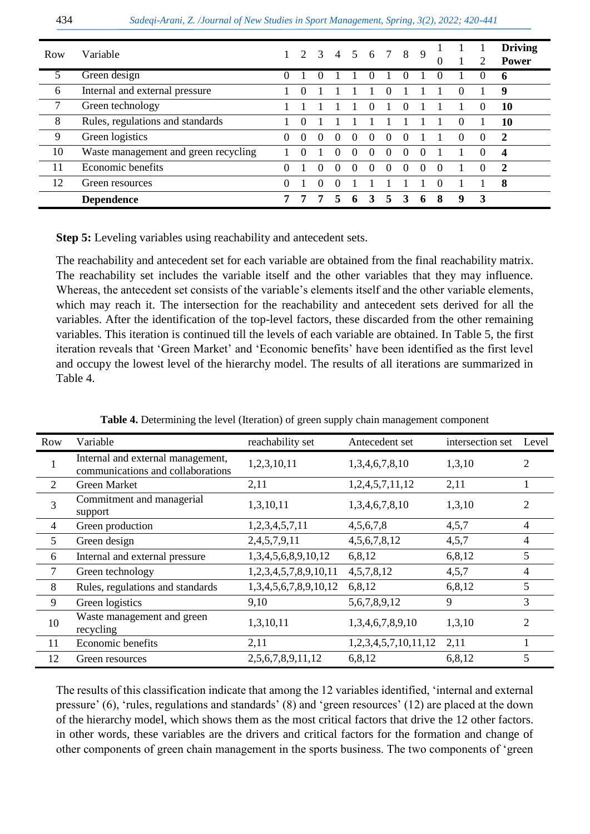| Row | Variable                             |          |          |                  |          |          | 2 3 4 5 6 7 8 |          |          | 9        | $\theta$ |          |          | <b>Driving</b><br><b>Power</b> |
|-----|--------------------------------------|----------|----------|------------------|----------|----------|---------------|----------|----------|----------|----------|----------|----------|--------------------------------|
| 5   | Green design                         | $\Omega$ |          | $\theta$         |          |          | $\theta$      |          | $\theta$ |          | $\Omega$ |          |          | 6                              |
| 6   | Internal and external pressure       |          | $\Omega$ |                  |          |          |               | $\Omega$ |          |          |          | $\Omega$ |          | 9                              |
| 7   | Green technology                     |          |          |                  |          |          |               |          |          |          |          |          |          | 10                             |
| 8   | Rules, regulations and standards     |          | $\Omega$ |                  |          |          |               |          |          |          |          | $\theta$ |          | 10                             |
| 9   | Green logistics                      | $\Omega$ | $\Omega$ | $\left( \right)$ | $\theta$ | $\theta$ | $\theta$      | $\Omega$ | $\theta$ |          |          | $\Omega$ | $\theta$ | $\overline{2}$                 |
| 10  | Waste management and green recycling |          | $\theta$ |                  | $_{0}$   | $\Omega$ | $\Omega$      | $\Omega$ | $\Omega$ | $\theta$ |          |          |          | $\boldsymbol{4}$               |
| 11  | Economic benefits                    | $\Omega$ |          | $\Omega$         | $\Omega$ | 0        | $\Omega$      | $\Omega$ | $\Omega$ | $\Omega$ | $\Omega$ |          |          | $\overline{2}$                 |
| 12  | Green resources                      | $\Omega$ |          | $\Omega$         | $\Omega$ |          |               |          |          |          | $\Omega$ |          |          | 8                              |
|     | <b>Dependence</b>                    |          | 7        | 7                | $\sim$   | 6        | 3             | 5.       | 3        | 6        | 8        | 9        | 3        |                                |

**Step 5:** Leveling variables using reachability and antecedent sets.

The reachability and antecedent set for each variable are obtained from the final reachability matrix. The reachability set includes the variable itself and the other variables that they may influence. Whereas, the antecedent set consists of the variable's elements itself and the other variable elements, which may reach it. The intersection for the reachability and antecedent sets derived for all the variables. After the identification of the top-level factors, these discarded from the other remaining variables. This iteration is continued till the levels of each variable are obtained. In Table 5, the first iteration reveals that 'Green Market' and 'Economic benefits' have been identified as the first level and occupy the lowest level of the hierarchy model. The results of all iterations are summarized in Table 4.

| Row            | Variable                                                               | reachability set      | Antecedent set       | intersection set | Level          |
|----------------|------------------------------------------------------------------------|-----------------------|----------------------|------------------|----------------|
| 1              | Internal and external management,<br>communications and collaborations | 1,2,3,10,11           | 1,3,4,6,7,8,10       | 1,3,10           | 2              |
| 2              | <b>Green Market</b>                                                    | 2,11                  | 1,2,4,5,7,11,12      | 2,11             |                |
| 3              | Commitment and managerial<br>support                                   | 1,3,10,11             | 1,3,4,6,7,8,10       | 1,3,10           | $\overline{2}$ |
| $\overline{4}$ | Green production                                                       | 1,2,3,4,5,7,11        | 4,5,6,7,8            | 4,5,7            | $\overline{4}$ |
| 5              | Green design                                                           | 2,4,5,7,9,11          | 4, 5, 6, 7, 8, 12    | 4,5,7            | 4              |
| 6              | Internal and external pressure                                         | 1,3,4,5,6,8,9,10,12   | 6,8,12               | 6,8,12           | 5              |
|                | Green technology                                                       | 1,2,3,4,5,7,8,9,10,11 | 4, 5, 7, 8, 12       | 4,5,7            | 4              |
| 8              | Rules, regulations and standards                                       | 1,3,4,5,6,7,8,9,10,12 | 6,8,12               | 6,8,12           | 5              |
| 9              | Green logistics                                                        | 9,10                  | 5,6,7,8,9,12         | 9                | 3              |
| 10             | Waste management and green<br>recycling                                | 1,3,10,11             | 1,3,4,6,7,8,9,10     | 1,3,10           | 2              |
| 11             | Economic benefits                                                      | 2,11                  | 1,2,3,4,5,7,10,11,12 | 2,11             |                |
| 12             | Green resources                                                        | 2,5,6,7,8,9,11,12     | 6,8,12               | 6,8,12           | 5              |

**Table 4.** Determining the level (Iteration) of green supply chain management component

The results of this classification indicate that among the 12 variables identified, 'internal and external pressure' (6), 'rules, regulations and standards' (8) and 'green resources' (12) are placed at the down of the hierarchy model, which shows them as the most critical factors that drive the 12 other factors. in other words, these variables are the drivers and critical factors for the formation and change of other components of green chain management in the sports business. The two components of 'green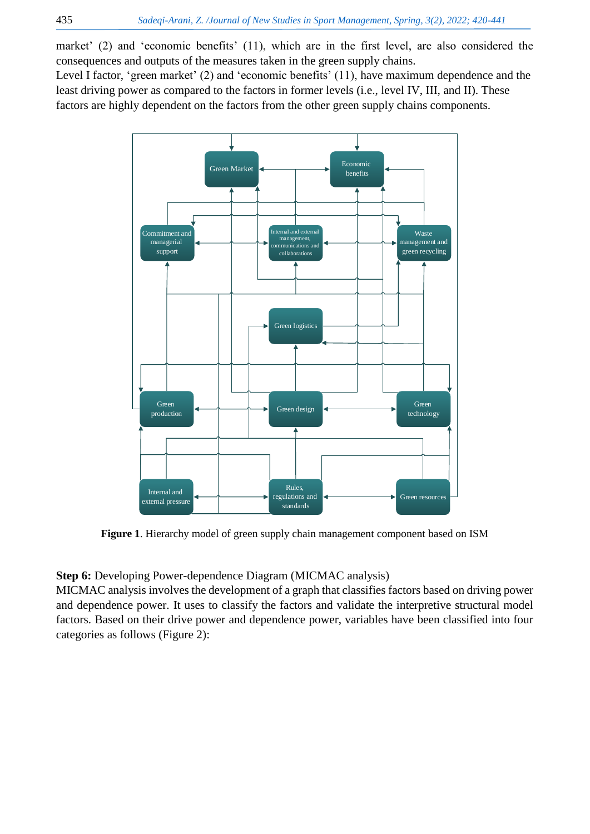market' (2) and 'economic benefits' (11), which are in the first level, are also considered the consequences and outputs of the measures taken in the green supply chains.

Level I factor, 'green market' (2) and 'economic benefits' (11), have maximum dependence and the least driving power as compared to the factors in former levels (i.e., level IV, III, and II). These factors are highly dependent on the factors from the other green supply chains components.



**Figure 1**. Hierarchy model of green supply chain management component based on ISM

### **Step 6:** Developing Power-dependence Diagram (MICMAC analysis)

MICMAC analysis involves the development of a graph that classifies factors based on driving power and dependence power. It uses to classify the factors and validate the interpretive structural model factors. Based on their drive power and dependence power, variables have been classified into four categories as follows (Figure 2):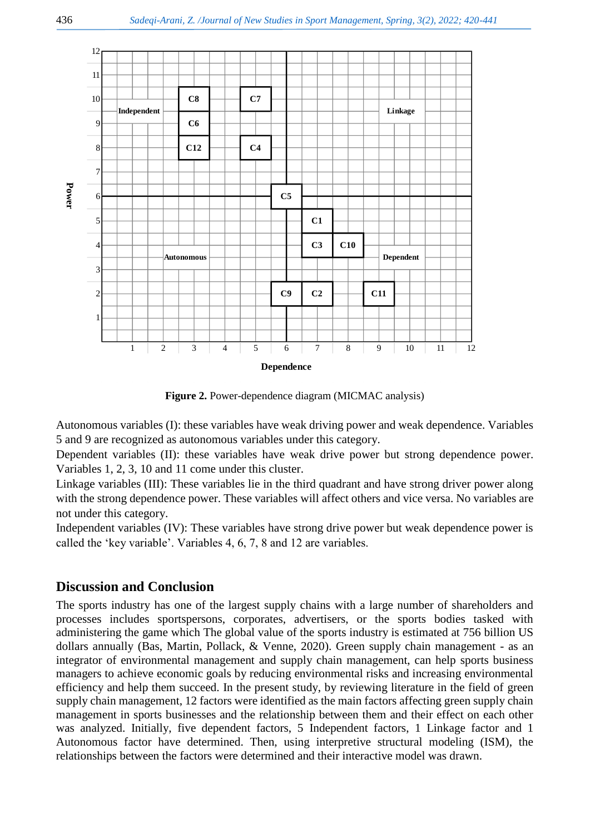

**Figure 2.** Power-dependence diagram (MICMAC analysis)

Autonomous variables (I): these variables have weak driving power and weak dependence. Variables 5 and 9 are recognized as autonomous variables under this category.

Dependent variables (II): these variables have weak drive power but strong dependence power. Variables 1, 2, 3, 10 and 11 come under this cluster.

Linkage variables (III): These variables lie in the third quadrant and have strong driver power along with the strong dependence power. These variables will affect others and vice versa. No variables are not under this category.

Independent variables (IV): These variables have strong drive power but weak dependence power is called the 'key variable'. Variables 4, 6, 7, 8 and 12 are variables.

## **Discussion and Conclusion**

The sports industry has one of the largest supply chains with a large number of shareholders and processes includes sportspersons, corporates, advertisers, or the sports bodies tasked with administering the game which The global value of the sports industry is estimated at 756 billion US dollars annually [\(Bas, Martin, Pollack, & Venne, 2020\)](#page-19-23). Green supply chain management - as an integrator of environmental management and supply chain management, can help sports business managers to achieve economic goals by reducing environmental risks and increasing environmental efficiency and help them succeed. In the present study, by reviewing literature in the field of green supply chain management, 12 factors were identified as the main factors affecting green supply chain management in sports businesses and the relationship between them and their effect on each other was analyzed. Initially, five dependent factors, 5 Independent factors, 1 Linkage factor and 1 Autonomous factor have determined. Then, using interpretive structural modeling (ISM), the relationships between the factors were determined and their interactive model was drawn.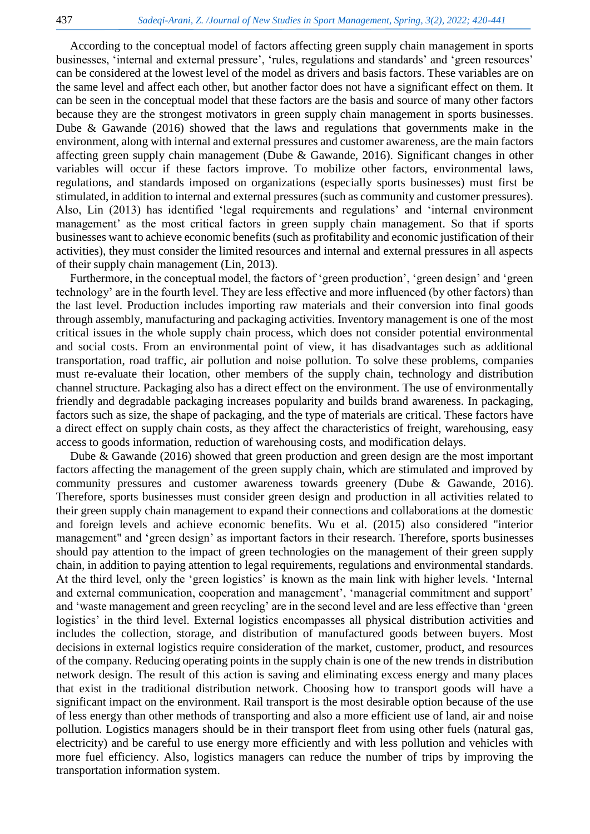According to the conceptual model of factors affecting green supply chain management in sports businesses, 'internal and external pressure', 'rules, regulations and standards' and 'green resources' can be considered at the lowest level of the model as drivers and basis factors. These variables are on the same level and affect each other, but another factor does not have a significant effect on them. It can be seen in the conceptual model that these factors are the basis and source of many other factors because they are the strongest motivators in green supply chain management in sports businesses. Dube & Gawande (2016) showed that the laws and regulations that governments make in the environment, along with internal and external pressures and customer awareness, are the main factors affecting green supply chain management [\(Dube & Gawande, 2016\)](#page-19-24). Significant changes in other variables will occur if these factors improve. To mobilize other factors, environmental laws, regulations, and standards imposed on organizations (especially sports businesses) must first be stimulated, in addition to internal and external pressures (such as community and customer pressures). Also, Lin (2013) has identified 'legal requirements and regulations' and 'internal environment management' as the most critical factors in green supply chain management. So that if sports businesses want to achieve economic benefits (such as profitability and economic justification of their activities), they must consider the limited resources and internal and external pressures in all aspects of their supply chain management [\(Lin, 2013\)](#page-20-22).

Furthermore, in the conceptual model, the factors of 'green production', 'green design' and 'green technology' are in the fourth level. They are less effective and more influenced (by other factors) than the last level. Production includes importing raw materials and their conversion into final goods through assembly, manufacturing and packaging activities. Inventory management is one of the most critical issues in the whole supply chain process, which does not consider potential environmental and social costs. From an environmental point of view, it has disadvantages such as additional transportation, road traffic, air pollution and noise pollution. To solve these problems, companies must re-evaluate their location, other members of the supply chain, technology and distribution channel structure. Packaging also has a direct effect on the environment. The use of environmentally friendly and degradable packaging increases popularity and builds brand awareness. In packaging, factors such as size, the shape of packaging, and the type of materials are critical. These factors have a direct effect on supply chain costs, as they affect the characteristics of freight, warehousing, easy access to goods information, reduction of warehousing costs, and modification delays.

Dube & Gawande (2016) showed that green production and green design are the most important factors affecting the management of the green supply chain, which are stimulated and improved by community pressures and customer awareness towards greenery [\(Dube & Gawande, 2016\)](#page-19-24). Therefore, sports businesses must consider green design and production in all activities related to their green supply chain management to expand their connections and collaborations at the domestic and foreign levels and achieve economic benefits. Wu et al. (2015) also considered "interior management" and 'green design' as important factors in their research. Therefore, sports businesses should pay attention to the impact of green technologies on the management of their green supply chain, in addition to paying attention to legal requirements, regulations and environmental standards. At the third level, only the 'green logistics' is known as the main link with higher levels. 'Internal and external communication, cooperation and management', 'managerial commitment and support' and 'waste management and green recycling' are in the second level and are less effective than 'green logistics' in the third level. External logistics encompasses all physical distribution activities and includes the collection, storage, and distribution of manufactured goods between buyers. Most decisions in external logistics require consideration of the market, customer, product, and resources of the company. Reducing operating points in the supply chain is one of the new trends in distribution network design. The result of this action is saving and eliminating excess energy and many places that exist in the traditional distribution network. Choosing how to transport goods will have a significant impact on the environment. Rail transport is the most desirable option because of the use of less energy than other methods of transporting and also a more efficient use of land, air and noise pollution. Logistics managers should be in their transport fleet from using other fuels (natural gas, electricity) and be careful to use energy more efficiently and with less pollution and vehicles with more fuel efficiency. Also, logistics managers can reduce the number of trips by improving the transportation information system.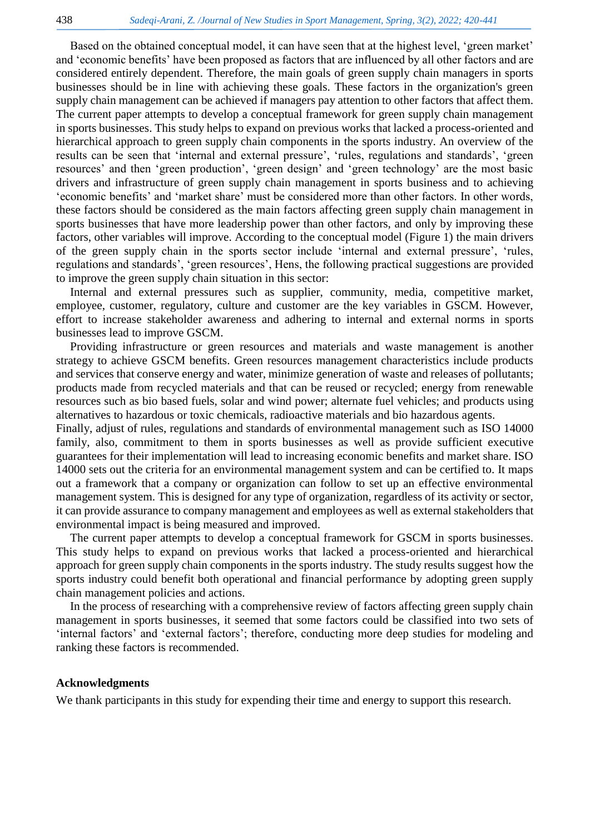Based on the obtained conceptual model, it can have seen that at the highest level, 'green market' and 'economic benefits' have been proposed as factors that are influenced by all other factors and are considered entirely dependent. Therefore, the main goals of green supply chain managers in sports businesses should be in line with achieving these goals. These factors in the organization's green supply chain management can be achieved if managers pay attention to other factors that affect them. The current paper attempts to develop a conceptual framework for green supply chain management in sports businesses. This study helps to expand on previous works that lacked a process-oriented and hierarchical approach to green supply chain components in the sports industry. An overview of the results can be seen that 'internal and external pressure', 'rules, regulations and standards', 'green resources' and then 'green production', 'green design' and 'green technology' are the most basic drivers and infrastructure of green supply chain management in sports business and to achieving 'economic benefits' and 'market share' must be considered more than other factors. In other words, these factors should be considered as the main factors affecting green supply chain management in sports businesses that have more leadership power than other factors, and only by improving these factors, other variables will improve. According to the conceptual model (Figure 1) the main drivers of the green supply chain in the sports sector include 'internal and external pressure', 'rules, regulations and standards', 'green resources', Hens, the following practical suggestions are provided to improve the green supply chain situation in this sector:

Internal and external pressures such as supplier, community, media, competitive market, employee, customer, regulatory, culture and customer are the key variables in GSCM. However, effort to increase stakeholder awareness and adhering to internal and external norms in sports businesses lead to improve GSCM.

Providing infrastructure or green resources and materials and waste management is another strategy to achieve GSCM benefits. Green resources management characteristics include products and services that conserve energy and water, minimize generation of waste and releases of pollutants; products made from recycled materials and that can be reused or recycled; energy from renewable resources such as bio based fuels, solar and wind power; alternate fuel vehicles; and products using alternatives to hazardous or toxic chemicals, radioactive materials and bio hazardous agents.

Finally, adjust of rules, regulations and standards of environmental management such as ISO 14000 family, also, commitment to them in sports businesses as well as provide sufficient executive guarantees for their implementation will lead to increasing economic benefits and market share. ISO 14000 sets out the criteria for an environmental management system and can be certified to. It maps out a framework that a company or organization can follow to set up an effective environmental management system. This is designed for any type of organization, regardless of its activity or sector, it can provide assurance to company management and employees as well as external stakeholders that environmental impact is being measured and improved.

The current paper attempts to develop a conceptual framework for GSCM in sports businesses. This study helps to expand on previous works that lacked a process-oriented and hierarchical approach for green supply chain components in the sports industry. The study results suggest how the sports industry could benefit both operational and financial performance by adopting green supply chain management policies and actions.

In the process of researching with a comprehensive review of factors affecting green supply chain management in sports businesses, it seemed that some factors could be classified into two sets of 'internal factors' and 'external factors'; therefore, conducting more deep studies for modeling and ranking these factors is recommended.

#### **Acknowledgments**

We thank participants in this study for expending their time and energy to support this research.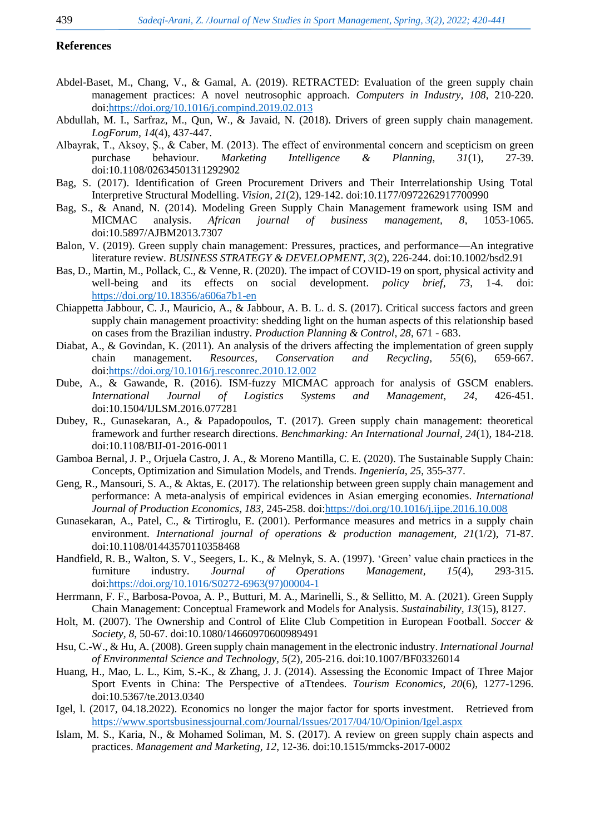#### <span id="page-19-20"></span><span id="page-19-18"></span><span id="page-19-15"></span>**References**

- <span id="page-19-14"></span><span id="page-19-1"></span>Abdel-Baset, M., Chang, V., & Gamal, A. (2019). RETRACTED: Evaluation of the green supply chain management practices: A novel neutrosophic approach. *Computers in Industry, 108*, 210-220. doi[:https://doi.org/10.1016/j.compind.2019.02.013](https://doi.org/10.1016/j.compind.2019.02.013)
- Abdullah, M. I., Sarfraz, M., Qun, W., & Javaid, N. (2018). Drivers of green supply chain management. *LogForum, 14*(4), 437-447.
- <span id="page-19-16"></span><span id="page-19-0"></span>Albayrak, T., Aksoy, Ş., & Caber, M. (2013). The effect of environmental concern and scepticism on green purchase behaviour. *Marketing Intelligence & Planning, 31*(1), 27-39. doi:10.1108/02634501311292902
- <span id="page-19-17"></span><span id="page-19-13"></span>Bag, S. (2017). Identification of Green Procurement Drivers and Their Interrelationship Using Total Interpretive Structural Modelling. *Vision, 21*(2), 129-142. doi:10.1177/0972262917700990
- <span id="page-19-21"></span>Bag, S., & Anand, N. (2014). Modeling Green Supply Chain Management framework using ISM and MICMAC analysis. *African journal of business management, 8*, 1053-1065. doi:10.5897/AJBM2013.7307
- <span id="page-19-3"></span>Balon, V. (2019). Green supply chain management: Pressures, practices, and performance—An integrative literature review. *BUSINESS STRATEGY & DEVELOPMENT, 3*(2), 226-244. doi:10.1002/bsd2.91
- <span id="page-19-23"></span>Bas, D., Martin, M., Pollack, C., & Venne, R. (2020). The impact of COVID-19 on sport, physical activity and well-being and its effects on social development. *policy brief, 73*, 1-4. doi: <https://doi.org/10.18356/a606a7b1-en>
- Chiappetta Jabbour, C. J., Mauricio, A., & Jabbour, A. B. L. d. S. (2017). Critical success factors and green supply chain management proactivity: shedding light on the human aspects of this relationship based on cases from the Brazilian industry. *Production Planning & Control, 28*, 671 - 683.
- <span id="page-19-22"></span>Diabat, A., & Govindan, K. (2011). An analysis of the drivers affecting the implementation of green supply chain management. *Resources, Conservation and Recycling, 55*(6), 659-667. doi[:https://doi.org/10.1016/j.resconrec.2010.12.002](https://doi.org/10.1016/j.resconrec.2010.12.002)
- <span id="page-19-24"></span>Dube, A., & Gawande, R. (2016). ISM-fuzzy MICMAC approach for analysis of GSCM enablers. *International Journal of Logistics Systems and Management, 24*, 426-451. doi:10.1504/IJLSM.2016.077281
- <span id="page-19-5"></span>Dubey, R., Gunasekaran, A., & Papadopoulos, T. (2017). Green supply chain management: theoretical framework and further research directions. *Benchmarking: An International Journal, 24*(1), 184-218. doi:10.1108/BIJ-01-2016-0011
- <span id="page-19-6"></span>Gamboa Bernal, J. P., Orjuela Castro, J. A., & Moreno Mantilla, C. E. (2020). The Sustainable Supply Chain: Concepts, Optimization and Simulation Models, and Trends. *Ingeniería, 25*, 355-377.
- <span id="page-19-19"></span><span id="page-19-12"></span>Geng, R., Mansouri, S. A., & Aktas, E. (2017). The relationship between green supply chain management and performance: A meta-analysis of empirical evidences in Asian emerging economies. *International Journal of Production Economics, 183*, 245-258. doi[:https://doi.org/10.1016/j.ijpe.2016.10.008](https://doi.org/10.1016/j.ijpe.2016.10.008)
- <span id="page-19-8"></span>Gunasekaran, A., Patel, C., & Tirtiroglu, E. (2001). Performance measures and metrics in a supply chain environment. *International journal of operations & production management, 21*(1/2), 71-87. doi:10.1108/01443570110358468
- <span id="page-19-7"></span>Handfield, R. B., Walton, S. V., Seegers, L. K., & Melnyk, S. A. (1997). 'Green' value chain practices in the furniture industry. *Journal of Operations Management, 15*(4), 293-315. doi[:https://doi.org/10.1016/S0272-6963\(97\)00004-1](https://doi.org/10.1016/S0272-6963(97)00004-1)
- Herrmann, F. F., Barbosa-Povoa, A. P., Butturi, M. A., Marinelli, S., & Sellitto, M. A. (2021). Green Supply Chain Management: Conceptual Framework and Models for Analysis. *Sustainability, 13*(15), 8127.
- <span id="page-19-11"></span>Holt, M. (2007). The Ownership and Control of Elite Club Competition in European Football. *Soccer & Society, 8*, 50-67. doi:10.1080/14660970600989491
- <span id="page-19-2"></span>Hsu, C.-W., & Hu, A. (2008). Green supply chain management in the electronic industry. *International Journal of Environmental Science and Technology, 5*(2), 205-216. doi:10.1007/BF03326014
- <span id="page-19-9"></span>Huang, H., Mao, L. L., Kim, S.-K., & Zhang, J. J. (2014). Assessing the Economic Impact of Three Major Sport Events in China: The Perspective of aTtendees. *Tourism Economics, 20*(6), 1277-1296. doi:10.5367/te.2013.0340
- <span id="page-19-10"></span>Igel, l. (2017, 04.18.2022). Economics no longer the major factor for sports investment. Retrieved from <https://www.sportsbusinessjournal.com/Journal/Issues/2017/04/10/Opinion/Igel.aspx>
- <span id="page-19-4"></span>Islam, M. S., Karia, N., & Mohamed Soliman, M. S. (2017). A review on green supply chain aspects and practices. *Management and Marketing, 12*, 12-36. doi:10.1515/mmcks-2017-0002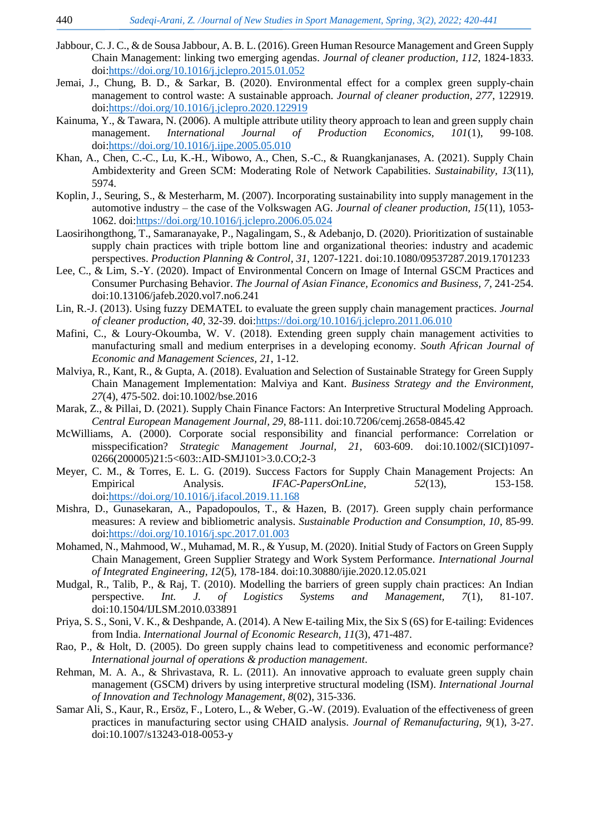- <span id="page-20-21"></span><span id="page-20-19"></span><span id="page-20-16"></span><span id="page-20-6"></span>Jabbour, C. J. C., & de Sousa Jabbour, A. B. L. (2016). Green Human Resource Management and Green Supply Chain Management: linking two emerging agendas. *Journal of cleaner production, 112*, 1824-1833. doi[:https://doi.org/10.1016/j.jclepro.2015.01.052](https://doi.org/10.1016/j.jclepro.2015.01.052)
- <span id="page-20-18"></span><span id="page-20-0"></span>Jemai, J., Chung, B. D., & Sarkar, B. (2020). Environmental effect for a complex green supply-chain management to control waste: A sustainable approach. *Journal of cleaner production, 277*, 122919. doi[:https://doi.org/10.1016/j.jclepro.2020.122919](https://doi.org/10.1016/j.jclepro.2020.122919)
- <span id="page-20-11"></span>Kainuma, Y., & Tawara, N. (2006). A multiple attribute utility theory approach to lean and green supply chain management. *International Journal of Production Economics, 101*(1), 99-108. doi[:https://doi.org/10.1016/j.ijpe.2005.05.010](https://doi.org/10.1016/j.ijpe.2005.05.010)
- <span id="page-20-7"></span>Khan, A., Chen, C.-C., Lu, K.-H., Wibowo, A., Chen, S.-C., & Ruangkanjanases, A. (2021). Supply Chain Ambidexterity and Green SCM: Moderating Role of Network Capabilities. *Sustainability, 13*(11), 5974.
- <span id="page-20-3"></span>Koplin, J., Seuring, S., & Mesterharm, M. (2007). Incorporating sustainability into supply management in the automotive industry – the case of the Volkswagen AG. *Journal of cleaner production, 15*(11), 1053- 1062. doi[:https://doi.org/10.1016/j.jclepro.2006.05.024](https://doi.org/10.1016/j.jclepro.2006.05.024)
- Laosirihongthong, T., Samaranayake, P., Nagalingam, S., & Adebanjo, D. (2020). Prioritization of sustainable supply chain practices with triple bottom line and organizational theories: industry and academic perspectives. *Production Planning & Control, 31*, 1207-1221. doi:10.1080/09537287.2019.1701233
- <span id="page-20-17"></span><span id="page-20-1"></span>Lee, C., & Lim, S.-Y. (2020). Impact of Environmental Concern on Image of Internal GSCM Practices and Consumer Purchasing Behavior. *The Journal of Asian Finance, Economics and Business, 7*, 241-254. doi:10.13106/jafeb.2020.vol7.no6.241
- <span id="page-20-22"></span><span id="page-20-20"></span>Lin, R.-J. (2013). Using fuzzy DEMATEL to evaluate the green supply chain management practices. *Journal of cleaner production, 40*, 32-39. doi[:https://doi.org/10.1016/j.jclepro.2011.06.010](https://doi.org/10.1016/j.jclepro.2011.06.010)
- Mafini, C., & Loury-Okoumba, W. V. (2018). Extending green supply chain management activities to manufacturing small and medium enterprises in a developing economy. *South African Journal of Economic and Management Sciences, 21*, 1-12.
- <span id="page-20-2"></span>Malviya, R., Kant, R., & Gupta, A. (2018). Evaluation and Selection of Sustainable Strategy for Green Supply Chain Management Implementation: Malviya and Kant. *Business Strategy and the Environment, 27*(4), 475-502. doi:10.1002/bse.2016
- <span id="page-20-14"></span>Marak, Z., & Pillai, D. (2021). Supply Chain Finance Factors: An Interpretive Structural Modeling Approach. *Central European Management Journal, 29*, 88-111. doi:10.7206/cemj.2658-0845.42
- <span id="page-20-15"></span><span id="page-20-5"></span>McWilliams, A. (2000). Corporate social responsibility and financial performance: Correlation or misspecification? *Strategic Management Journal, 21*, 603-609. doi:10.1002/(SICI)1097- 0266(200005)21:5<603::AID-SMJ101>3.0.CO;2-3
- <span id="page-20-4"></span>Meyer, C. M., & Torres, E. L. G. (2019). Success Factors for Supply Chain Management Projects: An Empirical Analysis. *IFAC-PapersOnLine, 52*(13), 153-158. doi[:https://doi.org/10.1016/j.ifacol.2019.11.168](https://doi.org/10.1016/j.ifacol.2019.11.168)
- Mishra, D., Gunasekaran, A., Papadopoulos, T., & Hazen, B. (2017). Green supply chain performance measures: A review and bibliometric analysis. *Sustainable Production and Consumption, 10*, 85-99. doi[:https://doi.org/10.1016/j.spc.2017.01.003](https://doi.org/10.1016/j.spc.2017.01.003)
- <span id="page-20-8"></span>Mohamed, N., Mahmood, W., Muhamad, M. R., & Yusup, M. (2020). Initial Study of Factors on Green Supply Chain Management, Green Supplier Strategy and Work System Performance. *International Journal of Integrated Engineering, 12*(5), 178-184. doi:10.30880/ijie.2020.12.05.021
- <span id="page-20-13"></span>Mudgal, R., Talib, P., & Raj, T. (2010). Modelling the barriers of green supply chain practices: An Indian perspective. *Int. J. of Logistics Systems and Management, 7*(1), 81-107. doi:10.1504/IJLSM.2010.033891
- <span id="page-20-12"></span>Priya, S. S., Soni, V. K., & Deshpande, A. (2014). A New E-tailing Mix, the Six S (6S) for E-tailing: Evidences from India. *International Journal of Economic Research, 11*(3), 471-487.
- <span id="page-20-9"></span>Rao, P., & Holt, D. (2005). Do green supply chains lead to competitiveness and economic performance? *International journal of operations & production management*.
- Rehman, M. A. A., & Shrivastava, R. L. (2011). An innovative approach to evaluate green supply chain management (GSCM) drivers by using interpretive structural modeling (ISM). *International Journal of Innovation and Technology Management, 8*(02), 315-336.
- <span id="page-20-10"></span>Samar Ali, S., Kaur, R., Ersöz, F., Lotero, L., & Weber, G.-W. (2019). Evaluation of the effectiveness of green practices in manufacturing sector using CHAID analysis. *Journal of Remanufacturing, 9*(1), 3-27. doi:10.1007/s13243-018-0053-y